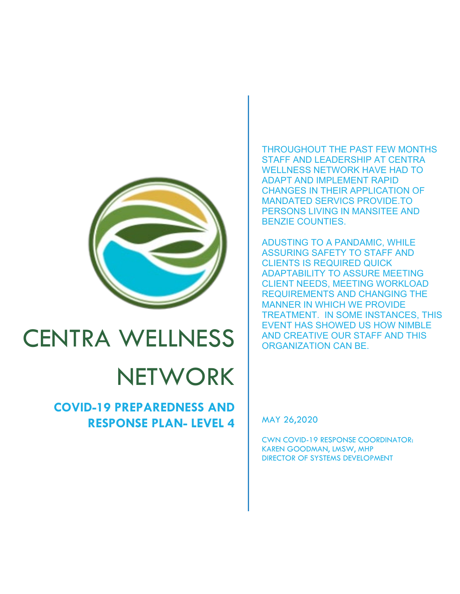

# CENTRA WELLNESS

# **NETWORK**

# **COVID-19 PREPAREDNESS AND RESPONSE PLAN- LEVEL 4**

# THROUGHOUT THE PAST FEW MONTHS STAFF AND LEADERSHIP AT CENTRA WELLNESS NETWORK HAVE HAD TO ADAPT AND IMPLEMENT RAPID CHANGES IN THEIR APPLICATION OF MANDATED SERVICS PROVIDE.TO PERSONS LIVING IN MANSITEE AND BENZIE COUNTIES.

ADUSTING TO A PANDAMIC, WHILE ASSURING SAFETY TO STAFF AND CLIENTS IS REQUIRED QUICK ADAPTABILITY TO ASSURE MEETING CLIENT NEEDS, MEETING WORKLOAD REQUIREMENTS AND CHANGING THE MANNER IN WHICH WE PROVIDE TREATMENT. IN SOME INSTANCES, THIS EVENT HAS SHOWED US HOW NIMBLE AND CREATIVE OUR STAFF AND THIS ORGANIZATION CAN BE.

MAY 26,2020

CWN COVID-19 RESPONSE COORDINATOR: KAREN GOODMAN, LMSW, MHP DIRECTOR OF SYSTEMS DEVELOPMENT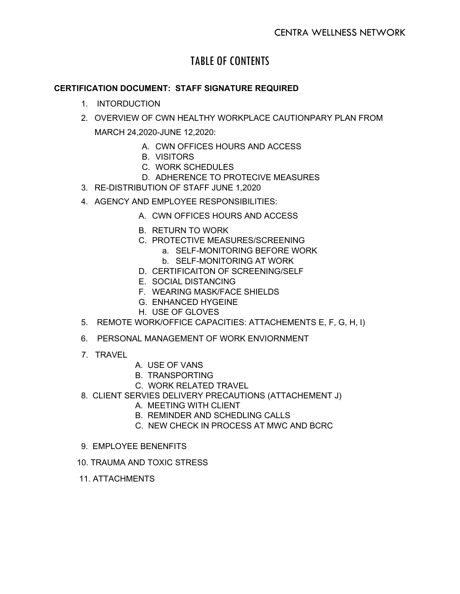# TABLE OF CONTENTS

# **CERTIFICATION DOCUMENT: STAFF SIGNATURE REQUIRED**

- 1. INTORDUCTION
- 2. OVERVIEW OF CWN HEALTHY WORKPLACE CAUTIONPARY PLAN FROM
	- MARCH 24,2020-JUNE 12,2020:
		- A. CWN OFFICES HOURS AND ACCESS
		- B. VISITORS
		- C. WORK SCHEDULES
		- D. ADHERENCE TO PROTECIVE MEASURES
- 3. RE-DISTRIBUTION OF STAFF JUNE 1,2020
- 4. AGENCY AND EMPLOYEE RESPONSIBILITIES:
	- A. CWN OFFICES HOURS AND ACCESS
	- B. RETURN TO WORK
	- C. PROTECTIVE MEASURES/SCREENING
		- a. SELF-MONITORING BEFORE WORK
		- b. SELF-MONITORING AT WORK
	- D. CERTIFICAITON OF SCREENING/SELF
	- E. SOCIAL DISTANCING
	- F. WEARING MASK/FACE SHIELDS
	- G. ENHANCED HYGEINE
	- H. USE OF GLOVES
- 5. REMOTE WORK/OFFICE CAPACITIES: ATTACHEMENTS E, F, G, H, I)
- 6. PERSONAL MANAGEMENT OF WORK ENVIORNMENT
- 7. TRAVEL
- A. USE OF VANS
- B. TRANSPORTING
- C. WORK RELATED TRAVEL
- 8. CLIENT SERVIES DELIVERY PRECAUTIONS (ATTACHEMENT J)
	- A. MEETING WITH CLIENT
	- B. REMINDER AND SCHEDLING CALLS
	- C. NEW CHECK IN PROCESS AT MWC AND BCRC
- 9. EMPLOYEE BENENFITS
- 10. TRAUMA AND TOXIC STRESS
- 11. ATTACHMENTS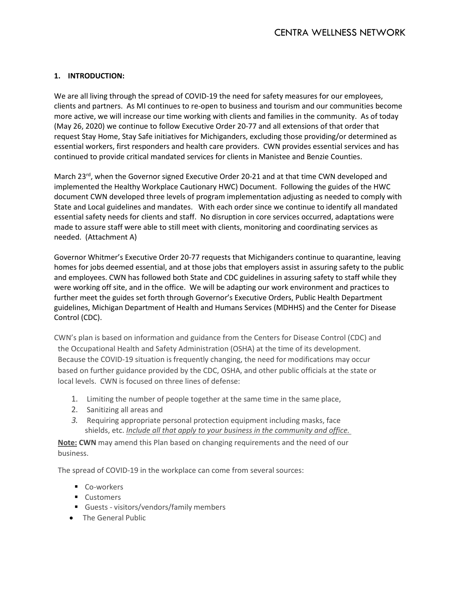# **1. INTRODUCTION:**

We are all living through the spread of COVID-19 the need for safety measures for our employees, clients and partners. As MI continues to re-open to business and tourism and our communities become more active, we will increase our time working with clients and families in the community. As of today (May 26, 2020) we continue to follow Executive Order 20-77 and all extensions of that order that request Stay Home, Stay Safe initiatives for Michiganders, excluding those providing/or determined as essential workers, first responders and health care providers. CWN provides essential services and has continued to provide critical mandated services for clients in Manistee and Benzie Counties.

March 23<sup>rd</sup>, when the Governor signed Executive Order 20-21 and at that time CWN developed and implemented the Healthy Workplace Cautionary HWC) Document. Following the guides of the HWC document CWN developed three levels of program implementation adjusting as needed to comply with State and Local guidelines and mandates. With each order since we continue to identify all mandated essential safety needs for clients and staff. No disruption in core services occurred, adaptations were made to assure staff were able to still meet with clients, monitoring and coordinating services as needed. (Attachment A)

Governor Whitmer's Executive Order 20-77 requests that Michiganders continue to quarantine, leaving homes for jobs deemed essential, and at those jobs that employers assist in assuring safety to the public and employees. CWN has followed both State and CDC guidelines in assuring safety to staff while they were working off site, and in the office. We will be adapting our work environment and practices to further meet the guides set forth through Governor's Executive Orders, Public Health Department guidelines, Michigan Department of Health and Humans Services (MDHHS) and the Center for Disease Control (CDC).

CWN's plan is based on information and guidance from the Centers for Disease Control (CDC) and the Occupational Health and Safety Administration (OSHA) at the time of its development. Because the COVID-19 situation is frequently changing, the need for modifications may occur based on further guidance provided by the CDC, OSHA, and other public officials at the state or local levels. CWN is focused on three lines of defense:

- 1. Limiting the number of people together at the same time in the same place,
- 2. Sanitizing all areas and
- *3.* Requiring appropriate personal protection equipment including masks, face shields, etc. *Include all that apply to your business in the community and office.*

**Note: CWN** may amend this Plan based on changing requirements and the need of our business.

The spread of COVID-19 in the workplace can come from several sources:

- Co-workers
- **Customers**
- Guests visitors/vendors/family members
- The General Public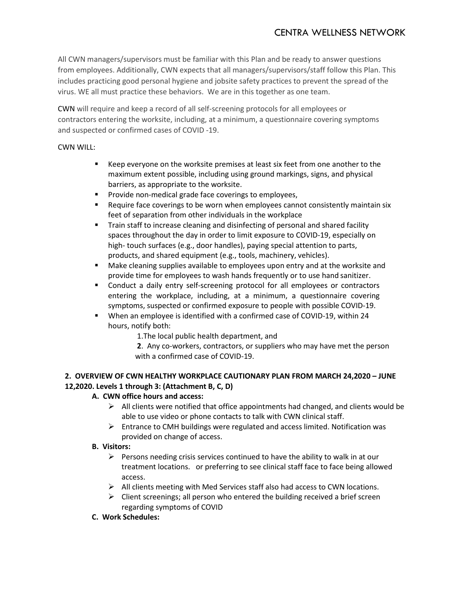# CENTRA WELLNESS NETWORK

All CWN managers/supervisors must be familiar with this Plan and be ready to answer questions from employees. Additionally, CWN expects that all managers/supervisors/staff follow this Plan. This includes practicing good personal hygiene and jobsite safety practices to prevent the spread of the virus. WE all must practice these behaviors. We are in this together as one team.

CWN will require and keep a record of all self-screening protocols for all employees or contractors entering the worksite, including, at a minimum, a questionnaire covering symptoms and suspected or confirmed cases of COVID -19.

#### CWN WILL:

- Keep everyone on the worksite premises at least six feet from one another to the maximum extent possible, including using ground markings, signs, and physical barriers, as appropriate to the worksite.
- **Provide non-medical grade face coverings to employees,**
- **Require face coverings to be worn when employees cannot consistently maintain six** feet of separation from other individuals in the workplace
- **Train staff to increase cleaning and disinfecting of personal and shared facility** spaces throughout the day in order to limit exposure to COVID-19, especially on high- touch surfaces (e.g., door handles), paying special attention to parts, products, and shared equipment (e.g., tools, machinery, vehicles).
- Make cleaning supplies available to employees upon entry and at the worksite and provide time for employees to wash hands frequently or to use hand sanitizer.
- Conduct a daily entry self-screening protocol for all employees or contractors entering the workplace, including, at a minimum, a questionnaire covering symptoms, suspected or confirmed exposure to people with possible COVID-19.
- When an employee is identified with a confirmed case of COVID-19, within 24 hours, notify both:

1.The local public health department, and

**2**. Any co-workers, contractors, or suppliers who may have met the person with a confirmed case of COVID-19.

# **2. OVERVIEW OF CWN HEALTHY WORKPLACE CAUTIONARY PLAN FROM MARCH 24,2020 – JUNE 12,2020. Levels 1 through 3: (Attachment B, C, D)**

#### **A. CWN office hours and access:**

- $\triangleright$  All clients were notified that office appointments had changed, and clients would be able to use video or phone contacts to talk with CWN clinical staff.
- $\triangleright$  Entrance to CMH buildings were regulated and access limited. Notification was provided on change of access.

#### **B. Visitors:**

- $\triangleright$  Persons needing crisis services continued to have the ability to walk in at our treatment locations. or preferring to see clinical staff face to face being allowed access.
- $\triangleright$  All clients meeting with Med Services staff also had access to CWN locations.
- $\triangleright$  Client screenings; all person who entered the building received a brief screen regarding symptoms of COVID
- **C. Work Schedules:**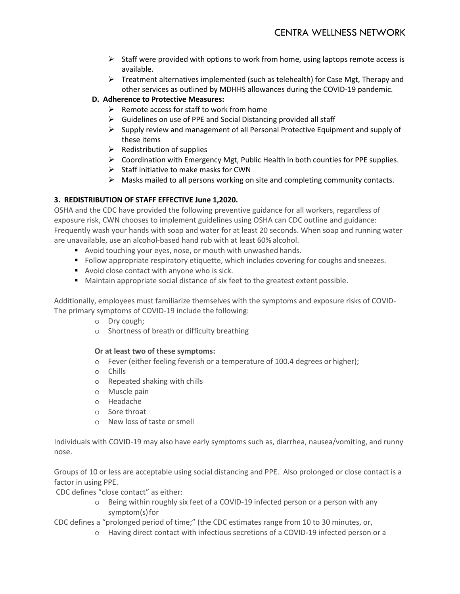- $\triangleright$  Staff were provided with options to work from home, using laptops remote access is available.
- $\triangleright$  Treatment alternatives implemented (such as telehealth) for Case Mgt, Therapy and other services as outlined by MDHHS allowances during the COVID-19 pandemic.

# **D. Adherence to Protective Measures:**

- $\triangleright$  Remote access for staff to work from home
- $\triangleright$  Guidelines on use of PPE and Social Distancing provided all staff
- $\triangleright$  Supply review and management of all Personal Protective Equipment and supply of these items
- $\triangleright$  Redistribution of supplies
- $\triangleright$  Coordination with Emergency Mgt, Public Health in both counties for PPE supplies.
- $\triangleright$  Staff initiative to make masks for CWN
- $\triangleright$  Masks mailed to all persons working on site and completing community contacts.

# **3. REDISTRIBUTION OF STAFF EFFECTIVE June 1,2020.**

OSHA and the CDC have provided the following preventive guidance for all workers, regardless of exposure risk, CWN chooses to implement guidelines using OSHA can CDC outline and guidance: Frequently wash your hands with soap and water for at least 20 seconds. When soap and running water are unavailable, use an alcohol-based hand rub with at least 60% alcohol.

- Avoid touching your eyes, nose, or mouth with unwashed hands.
- Follow appropriate respiratory etiquette, which includes covering for coughs and sneezes.
- Avoid close contact with anyone who is sick.
- **Maintain appropriate social distance of six feet to the greatest extent possible.**

Additionally, employees must familiarize themselves with the symptoms and exposure risks of COVID-The primary symptoms of COVID-19 include the following:

- o Dry cough;
- o Shortness of breath or difficulty breathing

# **Or at least two of these symptoms:**

- o Fever (either feeling feverish or a temperature of 100.4 degrees or higher);
- o Chills
- o Repeated shaking with chills
- o Muscle pain
- o Headache
- o Sore throat
- o New loss of taste orsmell

Individuals with COVID-19 may also have early symptoms such as, diarrhea, nausea/vomiting, and runny nose.

Groups of 10 or less are acceptable using social distancing and PPE. Also prolonged or close contact is a factor in using PPE.

CDC defines "close contact" as either:

o Being within roughly six feet of a COVID-19 infected person or a person with any symptom(s) for

CDC defines a "prolonged period of time;" (the CDC estimates range from 10 to 30 minutes, or,

o Having direct contact with infectious secretions of a COVID-19 infected person or a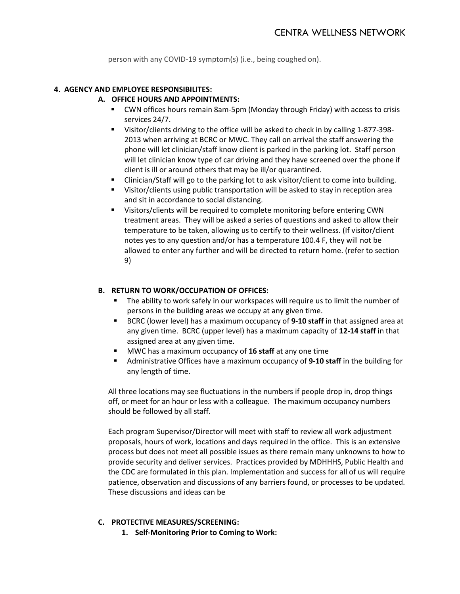person with any COVID-19 symptom(s) (i.e., being coughed on).

#### **4. AGENCY AND EMPLOYEE RESPONSIBILITES:**

#### **A. OFFICE HOURS AND APPOINTMENTS:**

- CWN offices hours remain 8am-5pm (Monday through Friday) with access to crisis services 24/7.
- Visitor/clients driving to the office will be asked to check in by calling 1-877-398- 2013 when arriving at BCRC or MWC. They call on arrival the staff answering the phone will let clinician/staff know client is parked in the parking lot. Staff person will let clinician know type of car driving and they have screened over the phone if client is ill or around others that may be ill/or quarantined.
- Clinician/Staff will go to the parking lot to ask visitor/client to come into building.
- Visitor/clients using public transportation will be asked to stay in reception area and sit in accordance to social distancing.
- Visitors/clients will be required to complete monitoring before entering CWN treatment areas. They will be asked a series of questions and asked to allow their temperature to be taken, allowing us to certify to their wellness. (If visitor/client notes yes to any question and/or has a temperature 100.4 F, they will not be allowed to enter any further and will be directed to return home. (refer to section 9)

#### **B. RETURN TO WORK/OCCUPATION OF OFFICES:**

- The ability to work safely in our workspaces will require us to limit the number of persons in the building areas we occupy at any given time.
- BCRC (lower level) has a maximum occupancy of **9-10 staff** in that assigned area at any given time. BCRC (upper level) has a maximum capacity of **12-14 staff** in that assigned area at any given time.
- MWC has a maximum occupancy of **16 staff** at any one time
- Administrative Offices have a maximum occupancy of **9-10 staff** in the building for any length of time.

All three locations may see fluctuations in the numbers if people drop in, drop things off, or meet for an hour or less with a colleague. The maximum occupancy numbers should be followed by all staff.

Each program Supervisor/Director will meet with staff to review all work adjustment proposals, hours of work, locations and days required in the office. This is an extensive process but does not meet all possible issues as there remain many unknowns to how to provide security and deliver services. Practices provided by MDHHHS, Public Health and the CDC are formulated in this plan. Implementation and success for all of us will require patience, observation and discussions of any barriers found, or processes to be updated. These discussions and ideas can be

#### **C. PROTECTIVE MEASURES/SCREENING:**

**1. Self-Monitoring Prior to Coming to Work:**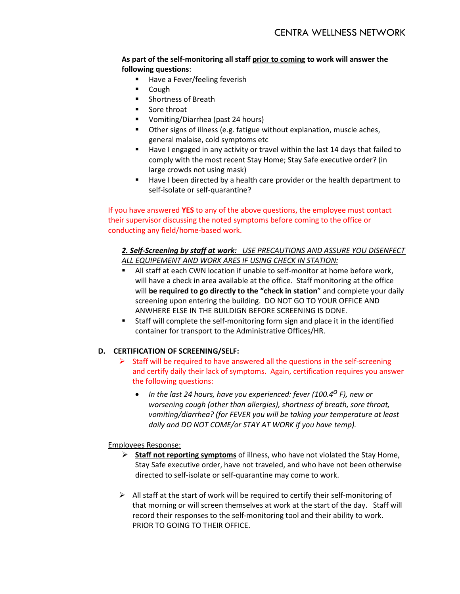#### **As part of the self-monitoring all staff prior to coming to work will answer the following questions**:

- Have a Fever/feeling feverish
- Cough
- **Shortness of Breath**
- **Sore throat**
- Vomiting/Diarrhea (past 24 hours)
- Other signs of illness (e.g. fatigue without explanation, muscle aches, general malaise, cold symptoms etc
- Have I engaged in any activity or travel within the last 14 days that failed to comply with the most recent Stay Home; Stay Safe executive order? (in large crowds not using mask)
- Have I been directed by a health care provider or the health department to self-isolate or self-quarantine?

# If you have answered **YES** to any of the above questions, the employee must contact their supervisor discussing the noted symptoms before coming to the office or conducting any field/home-based work.

#### *2. Self-Screening by staff at work: USE PRECAUTIONS AND ASSURE YOU DISENFECT ALL EQUIPEMENT AND WORK ARES IF USING CHECK IN STATION:*

- All staff at each CWN location if unable to self-monitor at home before work, will have a check in area available at the office. Staff monitoring at the office will **be required to go directly to the "check in station**" and complete your daily screening upon entering the building. DO NOT GO TO YOUR OFFICE AND ANWHERE ELSE IN THE BUILDIGN BEFORE SCREENING IS DONE.
- Staff will complete the self-monitoring form sign and place it in the identified container for transport to the Administrative Offices/HR.

# **D. CERTIFICATION OF SCREENING/SELF:**

- $\triangleright$  Staff will be required to have answered all the questions in the self-screening and certify daily their lack of symptoms. Again, certification requires you answer the following questions:
	- *In the last 24 hours, have you experienced: fever (100.4o F), new or worsening cough (other than allergies), shortness of breath, sore throat, vomiting/diarrhea? (for FEVER you will be taking your temperature at least daily and DO NOT COME/or STAY AT WORK if you have temp).*

#### Employees Response:

- **Staff not reporting symptoms** of illness, who have not violated the Stay Home, Stay Safe executive order, have not traveled, and who have not been otherwise directed to self-isolate or self-quarantine may come to work.
- $\triangleright$  All staff at the start of work will be required to certify their self-monitoring of that morning or will screen themselves at work at the start of the day. Staff will record their responses to the self-monitoring tool and their ability to work. PRIOR TO GOING TO THEIR OFFICE.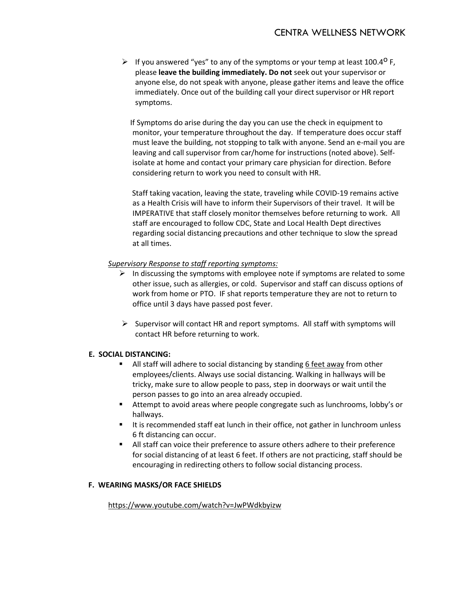If you answered "yes" to any of the symptoms or your temp at least 100.4<sup>0</sup> F, please **leave the building immediately. Do not** seek out your supervisor or anyone else, do not speak with anyone, please gather items and leave the office immediately. Once out of the building call your direct supervisor or HR report symptoms.

 If Symptoms do arise during the day you can use the check in equipment to monitor, your temperature throughout the day. If temperature does occur staff must leave the building, not stopping to talk with anyone. Send an e-mail you are leaving and call supervisor from car/home for instructions (noted above). Selfisolate at home and contact your primary care physician for direction. Before considering return to work you need to consult with HR.

 Staff taking vacation, leaving the state, traveling while COVID-19 remains active as a Health Crisis will have to inform their Supervisors of their travel. It will be IMPERATIVE that staff closely monitor themselves before returning to work. All staff are encouraged to follow CDC, State and Local Health Dept directives regarding social distancing precautions and other technique to slow the spread at all times.

#### *Supervisory Response to staff reporting symptoms:*

- $\triangleright$  In discussing the symptoms with employee note if symptoms are related to some other issue, such as allergies, or cold. Supervisor and staff can discuss options of work from home or PTO. IF shat reports temperature they are not to return to office until 3 days have passed post fever.
- $\triangleright$  Supervisor will contact HR and report symptoms. All staff with symptoms will contact HR before returning to work.

#### **E. SOCIAL DISTANCING:**

- All staff will adhere to social distancing by standing 6 feet away from other employees/clients. Always use social distancing. Walking in hallways will be tricky, make sure to allow people to pass, step in doorways or wait until the person passes to go into an area already occupied.
- Attempt to avoid areas where people congregate such as lunchrooms, lobby's or hallways.
- It is recommended staff eat lunch in their office, not gather in lunchroom unless 6 ft distancing can occur.
- All staff can voice their preference to assure others adhere to their preference for social distancing of at least 6 feet. If others are not practicing, staff should be encouraging in redirecting others to follow social distancing process.

#### **F. WEARING MASKS/OR FACE SHIELDS**

<https://www.youtube.com/watch?v=JwPWdkbyizw>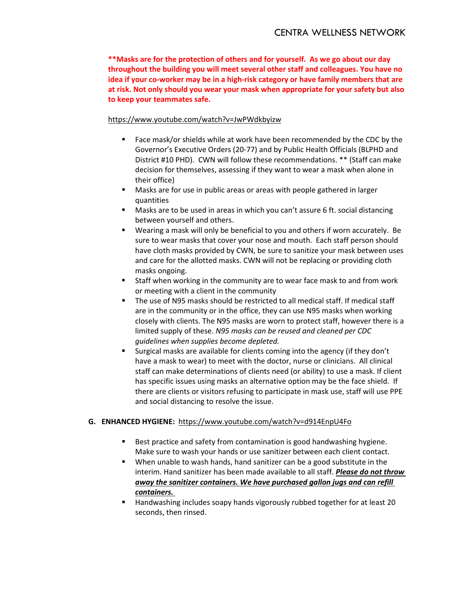**\*\*Masks are for the protection of others and for yourself. As we go about our day throughout the building you will meet several other staff and colleagues. You have no idea if your co-worker may be in a high-risk category or have family members that are at risk. Not only should you wear your mask when appropriate for your safety but also to keep your teammates safe.**

#### <https://www.youtube.com/watch?v=JwPWdkbyizw>

- Face mask/or shields while at work have been recommended by the CDC by the Governor's Executive Orders (20-77) and by Public Health Officials (BLPHD and District #10 PHD). CWN will follow these recommendations. \*\* (Staff can make decision for themselves, assessing if they want to wear a mask when alone in their office)
- Masks are for use in public areas or areas with people gathered in larger quantities
- Masks are to be used in areas in which you can't assure 6 ft. social distancing between yourself and others.
- Wearing a mask will only be beneficial to you and others if worn accurately. Be sure to wear masks that cover your nose and mouth. Each staff person should have cloth masks provided by CWN, be sure to sanitize your mask between uses and care for the allotted masks. CWN will not be replacing or providing cloth masks ongoing.
- Staff when working in the community are to wear face mask to and from work or meeting with a client in the community
- The use of N95 masks should be restricted to all medical staff. If medical staff are in the community or in the office, they can use N95 masks when working closely with clients. The N95 masks are worn to protect staff, however there is a limited supply of these. *N95 masks can be reused and cleaned per CDC guidelines when supplies become depleted.*
- Surgical masks are available for clients coming into the agency (if they don't have a mask to wear) to meet with the doctor, nurse or clinicians. All clinical staff can make determinations of clients need (or ability) to use a mask. If client has specific issues using masks an alternative option may be the face shield. If there are clients or visitors refusing to participate in mask use, staff will use PPE and social distancing to resolve the issue.

#### **G. ENHANCED HYGIENE:** <https://www.youtube.com/watch?v=d914EnpU4Fo>

- Best practice and safety from contamination is good handwashing hygiene. Make sure to wash your hands or use sanitizer between each client contact.
- **When unable to wash hands, hand sanitizer can be a good substitute in the** interim. Hand sanitizer has been made available to all staff. *Please do not throw away the sanitizer containers. We have purchased gallon jugs and can refill containers.*
- **Handwashing includes soapy hands vigorously rubbed together for at least 20** seconds, then rinsed.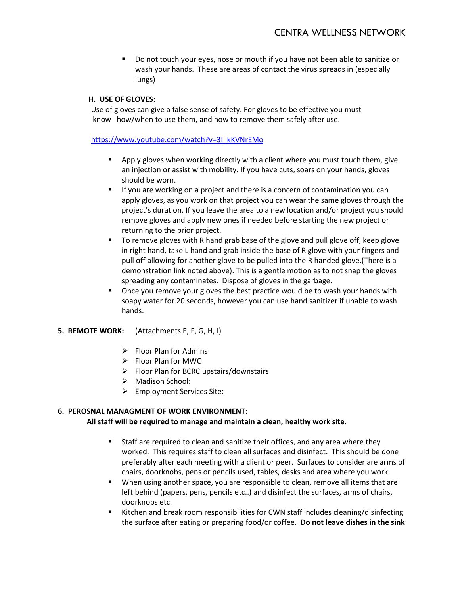Do not touch your eyes, nose or mouth if you have not been able to sanitize or wash your hands. These are areas of contact the virus spreads in (especially lungs)

#### **H. USE OF GLOVES:**

 Use of gloves can give a false sense of safety. For gloves to be effective you must know how/when to use them, and how to remove them safely after use.

#### [https://www.youtube.com/watch?v=3I\\_kKVNrEMo](https://www.youtube.com/watch?v=3I_kKVNrEMo)

- **•** Apply gloves when working directly with a client where you must touch them, give an injection or assist with mobility. If you have cuts, soars on your hands, gloves should be worn.
- If you are working on a project and there is a concern of contamination you can apply gloves, as you work on that project you can wear the same gloves through the project's duration. If you leave the area to a new location and/or project you should remove gloves and apply new ones if needed before starting the new project or returning to the prior project.
- To remove gloves with R hand grab base of the glove and pull glove off, keep glove in right hand, take L hand and grab inside the base of R glove with your fingers and pull off allowing for another glove to be pulled into the R handed glove.(There is a demonstration link noted above). This is a gentle motion as to not snap the gloves spreading any contaminates. Dispose of gloves in the garbage.
- **•** Once you remove your gloves the best practice would be to wash your hands with soapy water for 20 seconds, however you can use hand sanitizer if unable to wash hands.
- **5. REMOTE WORK:** (Attachments E, F, G, H, I)
	- $\triangleright$  Floor Plan for Admins
	- $\triangleright$  Floor Plan for MWC
	- $\triangleright$  Floor Plan for BCRC upstairs/downstairs
	- $\triangleright$  Madison School:
	- $\triangleright$  Employment Services Site:

# **6. PEROSNAL MANAGMENT OF WORK ENVIRONMENT:**

#### **All staff will be required to manage and maintain a clean, healthy work site.**

- Staff are required to clean and sanitize their offices, and any area where they worked. This requires staff to clean all surfaces and disinfect. This should be done preferably after each meeting with a client or peer. Surfaces to consider are arms of chairs, doorknobs, pens or pencils used, tables, desks and area where you work.
- When using another space, you are responsible to clean, remove all items that are left behind (papers, pens, pencils etc..) and disinfect the surfaces, arms of chairs, doorknobs etc.
- Kitchen and break room responsibilities for CWN staff includes cleaning/disinfecting the surface after eating or preparing food/or coffee. **Do not leave dishes in the sink**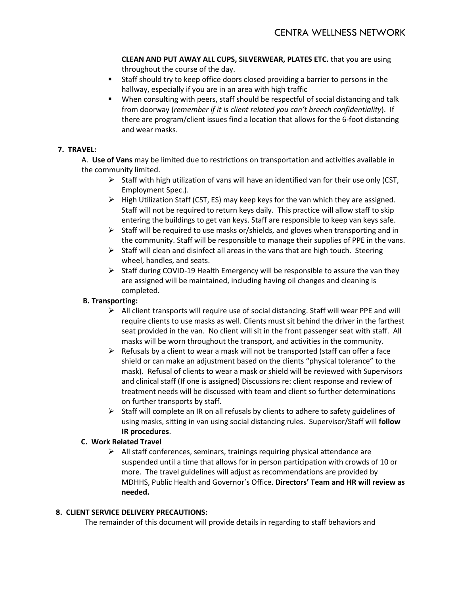**CLEAN AND PUT AWAY ALL CUPS, SILVERWEAR, PLATES ETC.** that you are using throughout the course of the day.

- Staff should try to keep office doors closed providing a barrier to persons in the hallway, especially if you are in an area with high traffic
- When consulting with peers, staff should be respectful of social distancing and talk from doorway (*remember if it is client related you can't breech confidentiality*). If there are program/client issues find a location that allows for the 6-foot distancing and wear masks.

### **7. TRAVEL:**

A. **Use of Vans** may be limited due to restrictions on transportation and activities available in the community limited.

- $\triangleright$  Staff with high utilization of vans will have an identified van for their use only (CST, Employment Spec.).
- $\triangleright$  High Utilization Staff (CST, ES) may keep keys for the van which they are assigned. Staff will not be required to return keys daily. This practice will allow staff to skip entering the buildings to get van keys. Staff are responsible to keep van keys safe.
- $\triangleright$  Staff will be required to use masks or/shields, and gloves when transporting and in the community. Staff will be responsible to manage their supplies of PPE in the vans.
- $\triangleright$  Staff will clean and disinfect all areas in the vans that are high touch. Steering wheel, handles, and seats.
- $\triangleright$  Staff during COVID-19 Health Emergency will be responsible to assure the van they are assigned will be maintained, including having oil changes and cleaning is completed.

# **B. Transporting:**

- $\triangleright$  All client transports will require use of social distancing. Staff will wear PPE and will require clients to use masks as well. Clients must sit behind the driver in the farthest seat provided in the van. No client will sit in the front passenger seat with staff. All masks will be worn throughout the transport, and activities in the community.
- $\triangleright$  Refusals by a client to wear a mask will not be transported (staff can offer a face shield or can make an adjustment based on the clients "physical tolerance" to the mask). Refusal of clients to wear a mask or shield will be reviewed with Supervisors and clinical staff (If one is assigned) Discussions re: client response and review of treatment needs will be discussed with team and client so further determinations on further transports by staff.
- $\triangleright$  Staff will complete an IR on all refusals by clients to adhere to safety guidelines of using masks, sitting in van using social distancing rules. Supervisor/Staff will **follow IR procedures**.

# **C. Work Related Travel**

 $\triangleright$  All staff conferences, seminars, trainings requiring physical attendance are suspended until a time that allows for in person participation with crowds of 10 or more. The travel guidelines will adjust as recommendations are provided by MDHHS, Public Health and Governor's Office. **Directors' Team and HR will review as needed.** 

# **8. CLIENT SERVICE DELIVERY PRECAUTIONS:**

The remainder of this document will provide details in regarding to staff behaviors and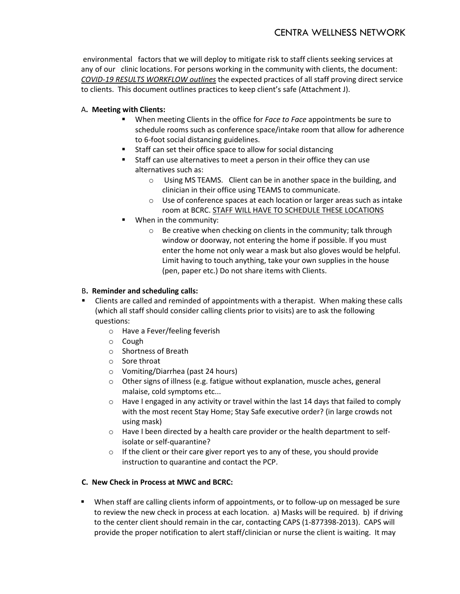environmental factors that we will deploy to mitigate risk to staff clients seeking services at any of our clinic locations. For persons working in the community with clients, the document: *COVID-19 RESULTS WORKFLOW outlines* the expected practices of all staff proving direct service to clients. This document outlines practices to keep client's safe (Attachment J).

# A**. Meeting with Clients:**

- When meeting Clients in the office for *Face to Face* appointments be sure to schedule rooms such as conference space/intake room that allow for adherence to 6-foot social distancing guidelines.
- Staff can set their office space to allow for social distancing
- Staff can use alternatives to meet a person in their office they can use alternatives such as:
	- $\circ$  Using MS TEAMS. Client can be in another space in the building, and clinician in their office using TEAMS to communicate.
	- $\circ$  Use of conference spaces at each location or larger areas such as intake room at BCRC. STAFF WILL HAVE TO SCHEDULE THESE LOCATIONS
- When in the community:
	- o Be creative when checking on clients in the community; talk through window or doorway, not entering the home if possible. If you must enter the home not only wear a mask but also gloves would be helpful. Limit having to touch anything, take your own supplies in the house (pen, paper etc.) Do not share items with Clients.

#### B**. Reminder and scheduling calls:**

- Clients are called and reminded of appointments with a therapist. When making these calls (which all staff should consider calling clients prior to visits) are to ask the following questions:
	- o Have a Fever/feeling feverish
	- o Cough
	- o Shortness of Breath
	- o Sore throat
	- o Vomiting/Diarrhea (past 24 hours)
	- $\circ$  Other signs of illness (e.g. fatigue without explanation, muscle aches, general malaise, cold symptoms etc...
	- $\circ$  Have I engaged in any activity or travel within the last 14 days that failed to comply with the most recent Stay Home; Stay Safe executive order? (in large crowds not using mask)
	- $\circ$  Have I been directed by a health care provider or the health department to selfisolate or self-quarantine?
	- o If the client or their care giver report yes to any of these, you should provide instruction to quarantine and contact the PCP.

# **C. New Check in Process at MWC and BCRC:**

 When staff are calling clients inform of appointments, or to follow-up on messaged be sure to review the new check in process at each location. a) Masks will be required. b) if driving to the center client should remain in the car, contacting CAPS (1-877398-2013). CAPS will provide the proper notification to alert staff/clinician or nurse the client is waiting. It may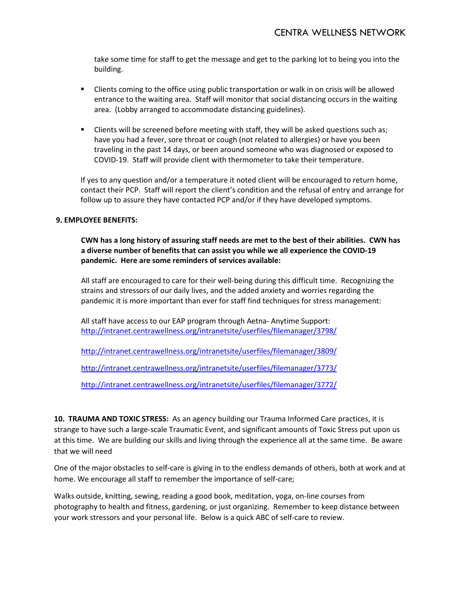take some time for staff to get the message and get to the parking lot to being you into the building.

- **EXECT** Clients coming to the office using public transportation or walk in on crisis will be allowed entrance to the waiting area. Staff will monitor that social distancing occurs in the waiting area. (Lobby arranged to accommodate distancing guidelines).
- **EXEDENT Clients will be screened before meeting with staff, they will be asked questions such as;** have you had a fever, sore throat or cough (not related to allergies) or have you been traveling in the past 14 days, or been around someone who was diagnosed or exposed to COVID-19. Staff will provide client with thermometer to take their temperature.

If yes to any question and/or a temperature it noted client will be encouraged to return home, contact their PCP. Staff will report the client's condition and the refusal of entry and arrange for follow up to assure they have contacted PCP and/or if they have developed symptoms.

#### **9. EMPLOYEE BENEFITS:**

**CWN has a long history of assuring staff needs are met to the best of their abilities. CWN has a diverse number of benefits that can assist you while we all experience the COVID-19 pandemic. Here are some reminders of services available:**

All staff are encouraged to care for their well-being during this difficult time. Recognizing the strains and stressors of our daily lives, and the added anxiety and worries regarding the pandemic it is more important than ever for staff find techniques for stress management:

All staff have access to our EAP program through Aetna- Anytime Support: <http://intranet.centrawellness.org/intranetsite/userfiles/filemanager/3798/>

<http://intranet.centrawellness.org/intranetsite/userfiles/filemanager/3809/>

<http://intranet.centrawellness.org/intranetsite/userfiles/filemanager/3773/>

<http://intranet.centrawellness.org/intranetsite/userfiles/filemanager/3772/>

**10. TRAUMA AND TOXIC STRESS:** As an agency building our Trauma Informed Care practices, it is strange to have such a large-scale Traumatic Event, and significant amounts of Toxic Stress put upon us at this time. We are building our skills and living through the experience all at the same time. Be aware that we will need

One of the major obstacles to self-care is giving in to the endless demands of others, both at work and at home. We encourage all staff to remember the importance of self-care;

Walks outside, knitting, sewing, reading a good book, meditation, yoga, on-line courses from photography to health and fitness, gardening, or just organizing. Remember to keep distance between your work stressors and your personal life. Below is a quick ABC of self-care to review.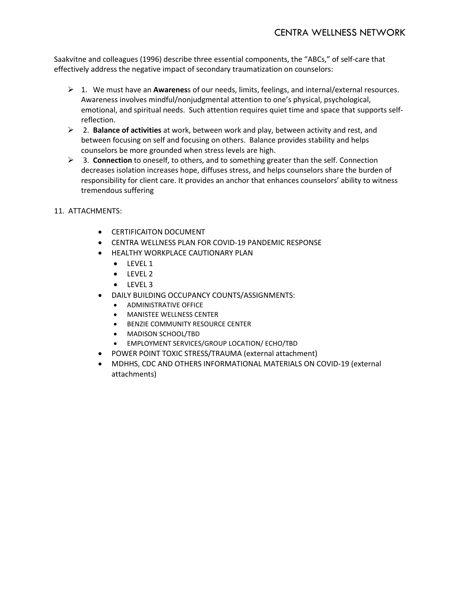Saakvitne and colleagues (1996) describe three essential components, the "ABCs," of self-care that effectively address the negative impact of secondary traumatization on counselors:

- 1. We must have an **Awarenes**s of our needs, limits, feelings, and internal/external resources. Awareness involves mindful/nonjudgmental attention to one's physical, psychological, emotional, and spiritual needs. Such attention requires quiet time and space that supports selfreflection.
- 2. **Balance of activities** at work, between work and play, between activity and rest, and between focusing on self and focusing on others. Balance provides stability and helps counselors be more grounded when stress levels are high.
- 3. **Connection** to oneself, to others, and to something greater than the self. Connection decreases isolation increases hope, diffuses stress, and helps counselors share the burden of responsibility for client care. It provides an anchor that enhances counselors' ability to witness tremendous suffering
- 11. ATTACHMENTS:
	- CERTIFICAITON DOCUMENT
	- CENTRA WELLNESS PLAN FOR COVID-19 PANDEMIC RESPONSE
	- HEALTHY WORKPLACE CAUTIONARY PLAN
		- LEVEL 1
		- LEVEL 2
		- LEVEL 3
		- DAILY BUILDING OCCUPANCY COUNTS/ASSIGNMENTS:
			- ADMINISTRATIVE OFFICE
			- MANISTEE WELLNESS CENTER
			- BENZIE COMMUNITY RESOURCE CENTER
			- MADISON SCHOOL/TBD
			- EMPLOYMENT SERVICES/GROUP LOCATION/ ECHO/TBD
	- POWER POINT TOXIC STRESS/TRAUMA (external attachment)
	- MDHHS, CDC AND OTHERS INFORMATIONAL MATERIALS ON COVID-19 (external attachments)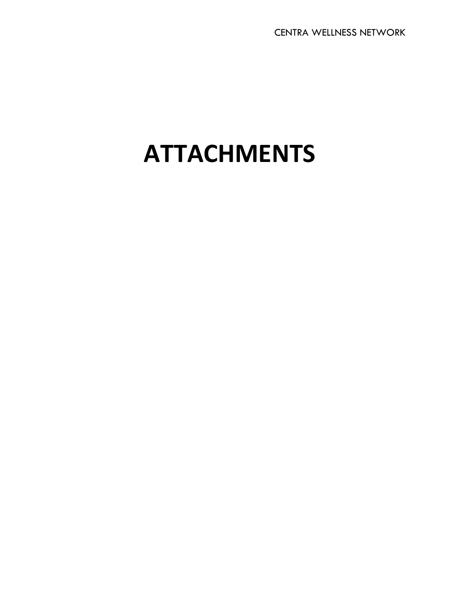# **ATTACHMENTS**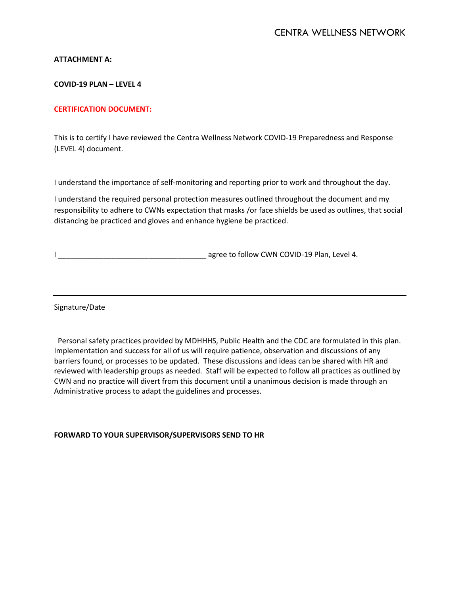#### **ATTACHMENT A:**

#### **COVID-19 PLAN – LEVEL 4**

#### **CERTIFICATION DOCUMENT:**

This is to certify I have reviewed the Centra Wellness Network COVID-19 Preparedness and Response (LEVEL 4) document.

I understand the importance of self-monitoring and reporting prior to work and throughout the day.

I understand the required personal protection measures outlined throughout the document and my responsibility to adhere to CWNs expectation that masks /or face shields be used as outlines, that social distancing be practiced and gloves and enhance hygiene be practiced.

I Letter that the same of the same of the same of the same of the same of the same of the same of the same of t

Signature/Date

 Personal safety practices provided by MDHHHS, Public Health and the CDC are formulated in this plan. Implementation and success for all of us will require patience, observation and discussions of any barriers found, or processes to be updated. These discussions and ideas can be shared with HR and reviewed with leadership groups as needed. Staff will be expected to follow all practices as outlined by CWN and no practice will divert from this document until a unanimous decision is made through an Administrative process to adapt the guidelines and processes.

**FORWARD TO YOUR SUPERVISOR/SUPERVISORS SEND TO HR**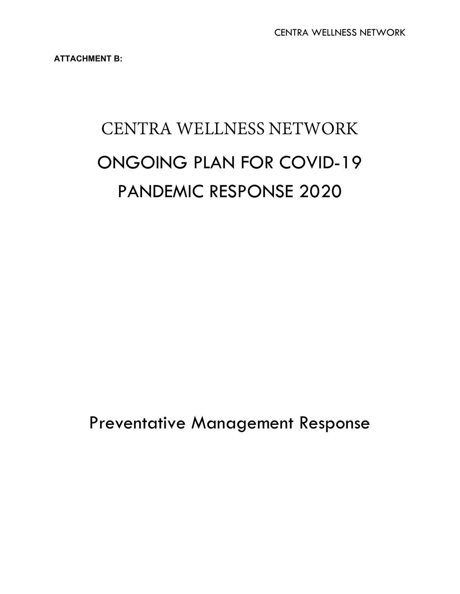**ATTACHMENT B:**

# CENTRA WELLNESS NETWORK ONGOING PLAN FOR COVID-19 PANDEMIC RESPONSE 2020

Preventative Management Response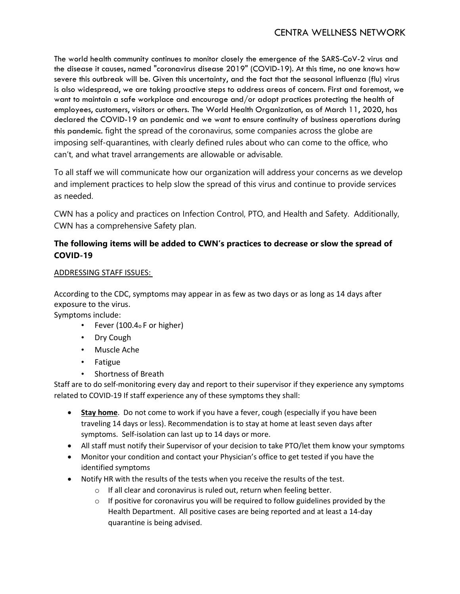The world health community continues to monitor closely the emergence of the SARS-CoV-2 virus and the disease it causes, named "coronavirus disease 2019" (COVID-19). At this time, no one knows how severe this outbreak will be. Given this uncertainty, and the fact that the seasonal influenza (flu) virus is also widespread, we are taking proactive steps to address areas of concern. First and foremost, we want to maintain a safe workplace and encourage and/or adopt practices protecting the health of employees, customers, visitors or others. The World Health Organization, as of March 11, 2020, has declared the COVID-19 an pandemic and we want to ensure continuity of business operations during this pandemic. fight the spread of the coronavirus, some companies across the globe are imposing self-quarantines, with clearly defined rules about who can come to the office, who can't, and what travel arrangements are allowable or advisable.

To all staff we will communicate how our organization will address your concerns as we develop and implement practices to help slow the spread of this virus and continue to provide services as needed.

CWN has a policy and practices on Infection Control, PTO, and Health and Safety. Additionally, CWN has a comprehensive Safety plan.

# **The following items will be added to CWN's practices to decrease or slow the spread of COVID-19**

# ADDRESSING STAFF ISSUES:

According to the CDC, symptoms may appear in as few as two days or as long as 14 days after exposure to the virus.

Symptoms include:

- Fever (100.4o F or higher)
- Dry Cough
- Muscle Ache
- Fatigue
- Shortness of Breath

Staff are to do self-monitoring every day and report to their supervisor if they experience any symptoms related to COVID-19 If staff experience any of these symptoms they shall:

- **Stay home**. Do not come to work if you have a fever, cough (especially if you have been traveling 14 days or less). Recommendation is to stay at home at least seven days after symptoms. Self-isolation can last up to 14 days or more.
- All staff must notify their Supervisor of your decision to take PTO/let them know your symptoms
- Monitor your condition and contact your Physician's office to get tested if you have the identified symptoms
- Notify HR with the results of the tests when you receive the results of the test.
	- o If all clear and coronavirus is ruled out, return when feeling better.
	- $\circ$  If positive for coronavirus you will be required to follow guidelines provided by the Health Department. All positive cases are being reported and at least a 14-day quarantine is being advised.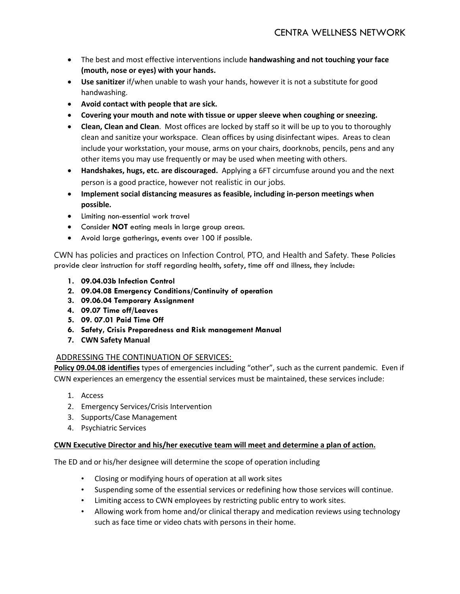- The best and most effective interventions include **handwashing and not touching your face (mouth, nose or eyes) with your hands.**
- **Use sanitizer** if/when unable to wash your hands, however it is not a substitute for good handwashing.
- **Avoid contact with people that are sick.**
- **Covering your mouth and note with tissue or upper sleeve when coughing or sneezing.**
- **Clean, Clean and Clean**. Most offices are locked by staff so it will be up to you to thoroughly clean and sanitize your workspace. Clean offices by using disinfectant wipes. Areas to clean include your workstation, your mouse, arms on your chairs, doorknobs, pencils, pens and any other items you may use frequently or may be used when meeting with others.
- **Handshakes, hugs, etc. are discouraged.** Applying a 6FT circumfuse around you and the next person is a good practice, however not realistic in our jobs.
- **Implement social distancing measures as feasible, including in-person meetings when possible.**
- Limiting non-essential work travel
- Consider **NOT** eating meals in large group areas.
- Avoid large gatherings, events over 100 if possible.

CWN has policies and practices on Infection Control, PTO, and Health and Safety. These Policies provide clear instruction for staff regarding health, safety, time off and illness, they include:

- **1. 09.04.03b Infection Control**
- **2. 09.04.08 Emergency Conditions/Continuity of operation**
- **3. 09.06.04 Temporary Assignment**
- **4. 09.07 Time off/Leaves**
- **5. 09. 07.01 Paid Time Off**
- **6. Safety, Crisis Preparedness and Risk management Manual**
- **7. CWN Safety Manual**

# ADDRESSING THE CONTINUATION OF SERVICES:

**Policy 09.04.08 identifies** types of emergencies including "other", such as the current pandemic. Even if CWN experiences an emergency the essential services must be maintained, these services include:

- 1. Access
- 2. Emergency Services/Crisis Intervention
- 3. Supports/Case Management
- 4. Psychiatric Services

#### **CWN Executive Director and his/her executive team will meet and determine a plan of action.**

The ED and or his/her designee will determine the scope of operation including

- Closing or modifying hours of operation at all work sites
- Suspending some of the essential services or redefining how those services will continue.
- Limiting access to CWN employees by restricting public entry to work sites.
- Allowing work from home and/or clinical therapy and medication reviews using technology such as face time or video chats with persons in their home.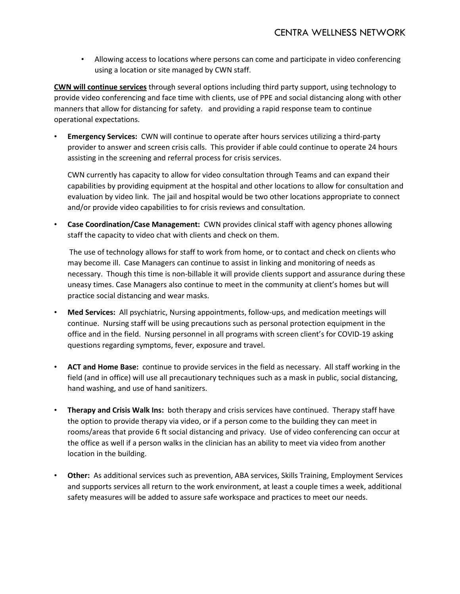• Allowing access to locations where persons can come and participate in video conferencing using a location or site managed by CWN staff.

**CWN will continue services** through several options including third party support, using technology to provide video conferencing and face time with clients, use of PPE and social distancing along with other manners that allow for distancing for safety. and providing a rapid response team to continue operational expectations.

• **Emergency Services:** CWN will continue to operate after hours services utilizing a third-party provider to answer and screen crisis calls. This provider if able could continue to operate 24 hours assisting in the screening and referral process for crisis services.

CWN currently has capacity to allow for video consultation through Teams and can expand their capabilities by providing equipment at the hospital and other locations to allow for consultation and evaluation by video link. The jail and hospital would be two other locations appropriate to connect and/or provide video capabilities to for crisis reviews and consultation.

• **Case Coordination/Case Management:** CWN provides clinical staff with agency phones allowing staff the capacity to video chat with clients and check on them.

The use of technology allows for staff to work from home, or to contact and check on clients who may become ill. Case Managers can continue to assist in linking and monitoring of needs as necessary. Though this time is non-billable it will provide clients support and assurance during these uneasy times. Case Managers also continue to meet in the community at client's homes but will practice social distancing and wear masks.

- **Med Services:** All psychiatric, Nursing appointments, follow-ups, and medication meetings will continue. Nursing staff will be using precautions such as personal protection equipment in the office and in the field. Nursing personnel in all programs with screen client's for COVID-19 asking questions regarding symptoms, fever, exposure and travel.
- **ACT and Home Base:** continue to provide services in the field as necessary. All staff working in the field (and in office) will use all precautionary techniques such as a mask in public, social distancing, hand washing, and use of hand sanitizers.
- **Therapy and Crisis Walk Ins:** both therapy and crisis services have continued. Therapy staff have the option to provide therapy via video, or if a person come to the building they can meet in rooms/areas that provide 6 ft social distancing and privacy. Use of video conferencing can occur at the office as well if a person walks in the clinician has an ability to meet via video from another location in the building.
- **Other:** As additional services such as prevention, ABA services, Skills Training, Employment Services and supports services all return to the work environment, at least a couple times a week, additional safety measures will be added to assure safe workspace and practices to meet our needs.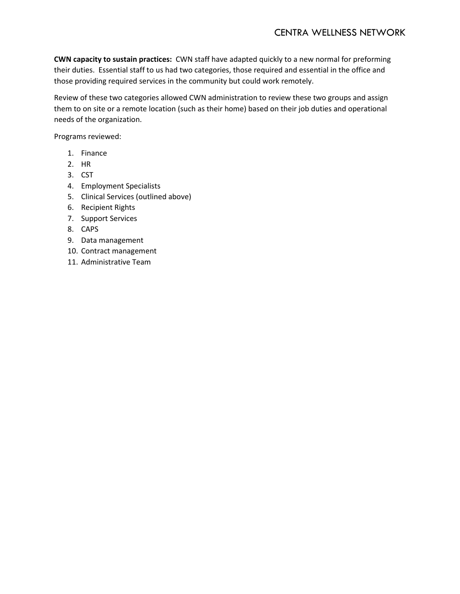**CWN capacity to sustain practices:** CWN staff have adapted quickly to a new normal for preforming their duties. Essential staff to us had two categories, those required and essential in the office and those providing required services in the community but could work remotely.

Review of these two categories allowed CWN administration to review these two groups and assign them to on site or a remote location (such as their home) based on their job duties and operational needs of the organization.

Programs reviewed:

- 1. Finance
- 2. HR
- 3. CST
- 4. Employment Specialists
- 5. Clinical Services (outlined above)
- 6. Recipient Rights
- 7. Support Services
- 8. CAPS
- 9. Data management
- 10. Contract management
- 11. Administrative Team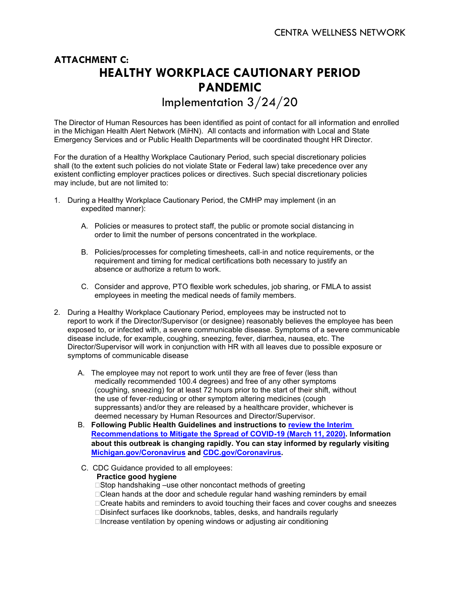# **ATTACHMENT C: HEALTHY WORKPLACE CAUTIONARY PERIOD PANDEMIC**

Implementation 3/24/20

The Director of Human Resources has been identified as point of contact for all information and enrolled in the Michigan Health Alert Network (MiHN). All contacts and information with Local and State Emergency Services and or Public Health Departments will be coordinated thought HR Director.

For the duration of a Healthy Workplace Cautionary Period, such special discretionary policies shall (to the extent such policies do not violate State or Federal law) take precedence over any existent conflicting employer practices polices or directives. Such special discretionary policies may include, but are not limited to:

- 1. During a Healthy Workplace Cautionary Period, the CMHP may implement (in an expedited manner):
	- A. Policies or measures to protect staff, the public or promote social distancing in order to limit the number of persons concentrated in the workplace.
	- B. Policies/processes for completing timesheets, call‐in and notice requirements, or the requirement and timing for medical certifications both necessary to justify an absence or authorize a return to work.
	- C. Consider and approve, PTO flexible work schedules, job sharing, or FMLA to assist employees in meeting the medical needs of family members.
- 2. During a Healthy Workplace Cautionary Period, employees may be instructed not to report to work if the Director/Supervisor (or designee) reasonably believes the employee has been exposed to, or infected with, a severe communicable disease. Symptoms of a severe communicable disease include, for example, coughing, sneezing, fever, diarrhea, nausea, etc. The Director/Supervisor will work in conjunction with HR with all leaves due to possible exposure or symptoms of communicable disease
	- A. The employee may not report to work until they are free of fever (less than medically recommended 100.4 degrees) and free of any other symptoms (coughing, sneezing) for at least 72 hours prior to the start of their shift, without the use of fever‐reducing or other symptom altering medicines (cough suppressants) and/or they are released by a healthcare provider, whichever is deemed necessary by Human Resources and Director/Supervisor.
	- B. **Following Public Health Guidelines and instructions to [review the Interim](https://gcc01.safelinks.protection.outlook.com/?url=https%3A%2F%2Fwww.michigan.gov%2Fdocuments%2Fcoronavirus%2FMDHHS_Interim_Recommendations_for_COVID-19_final_683589_7.pdf&data=02%7C01%7CSavageJ1%40michigan.gov%7Ce1c1d9c1b6ad4d91a2d108d7c6b5b5b1%7Cd5fb7087377742ad966a892ef47225d1%7C0%7C0%7C637196356041302774&sdata=LOjYVtH6wLBIEBpzBG2i2vTvvpUhrdoNseRlA6QqCdE%3D&reserved=0)  [Recommendations to Mitigate the Spread of COVID-19 \(March 11, 2020\).](https://gcc01.safelinks.protection.outlook.com/?url=https%3A%2F%2Fwww.michigan.gov%2Fdocuments%2Fcoronavirus%2FMDHHS_Interim_Recommendations_for_COVID-19_final_683589_7.pdf&data=02%7C01%7CSavageJ1%40michigan.gov%7Ce1c1d9c1b6ad4d91a2d108d7c6b5b5b1%7Cd5fb7087377742ad966a892ef47225d1%7C0%7C0%7C637196356041302774&sdata=LOjYVtH6wLBIEBpzBG2i2vTvvpUhrdoNseRlA6QqCdE%3D&reserved=0) Information about this outbreak is changing rapidly. You can stay informed by regularly visiting [Michigan.gov/Coronavirus](https://gcc01.safelinks.protection.outlook.com/?url=https%3A%2F%2Flnks.gd%2Fl%2FeyJhbGciOiJIUzI1NiJ9.eyJidWxsZXRpbl9saW5rX2lkIjoxMDEsInVyaSI6ImJwMjpjbGljayIsImJ1bGxldGluX2lkIjoiMjAyMDAzMTEuMTg1Nzk1NjEiLCJ1cmwiOiJodHRwOi8vd3d3Lm1pY2hpZ2FuLmdvdi9Db3JvbmF2aXJ1cyJ9.jxjTaz8Zi-uNFzu4t_leAF5R4UlbMmf4HpIUSIX_DgE%2Fbr%2F75992717767-l&data=02%7C01%7CSavageJ1%40michigan.gov%7Ce1c1d9c1b6ad4d91a2d108d7c6b5b5b1%7Cd5fb7087377742ad966a892ef47225d1%7C0%7C0%7C637196356041312769&sdata=I0TFv5Wd27JC1XU%2FGFkxEMlZCnA%2BKKE%2FVNnWwHZr5kc%3D&reserved=0) and [CDC.gov/Coronavirus.](https://gcc01.safelinks.protection.outlook.com/?url=https%3A%2F%2Flnks.gd%2Fl%2FeyJhbGciOiJIUzI1NiJ9.eyJidWxsZXRpbl9saW5rX2lkIjoxMDIsInVyaSI6ImJwMjpjbGljayIsImJ1bGxldGluX2lkIjoiMjAyMDAzMTEuMTg1Nzk1NjEiLCJ1cmwiOiJodHRwOi8vd3d3LmNkYy5nb3YvQ29yb25hdmlydXMifQ.bJcr5SAtP3ydL6oqD3BIWe__OunjHEVFjLvtvBvLL7c%2Fbr%2F75992717767-l&data=02%7C01%7CSavageJ1%40michigan.gov%7Ce1c1d9c1b6ad4d91a2d108d7c6b5b5b1%7Cd5fb7087377742ad966a892ef47225d1%7C0%7C0%7C637196356041312769&sdata=tfOKJEpqpV1x6MYekgWqqR2EglBjfO6qdCo7PIyQSjE%3D&reserved=0)**
	- C. CDC Guidance provided to all employees: **Practice good hygiene** □Stop handshaking –use other noncontact methods of greeting □Clean hands at the door and schedule regular hand washing reminders by email □Create habits and reminders to avoid touching their faces and cover coughs and sneezes Disinfect surfaces like doorknobs, tables, desks, and handrails regularly  $\Box$ Increase ventilation by opening windows or adjusting air conditioning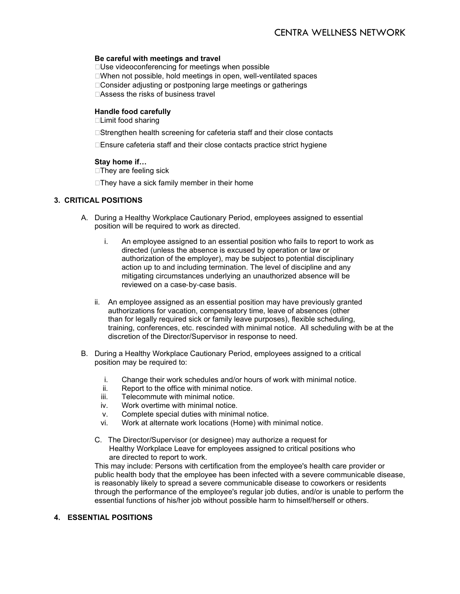#### **Be careful with meetings and travel**

□ Use videoconferencing for meetings when possible When not possible, hold meetings in open, well-ventilated spaces □ Consider adiusting or postponing large meetings or gatherings □Assess the risks of business travel

#### **Handle food carefully**

Limit food sharing

□Strengthen health screening for cafeteria staff and their close contacts

□Ensure cafeteria staff and their close contacts practice strict hygiene

#### **Stay home if…**

 $\Box$  They are feeling sick

 $\Box$ They have a sick family member in their home

#### **3. CRITICAL POSITIONS**

- A. During a Healthy Workplace Cautionary Period, employees assigned to essential position will be required to work as directed.
	- i. An employee assigned to an essential position who fails to report to work as directed (unless the absence is excused by operation or law or authorization of the employer), may be subject to potential disciplinary action up to and including termination. The level of discipline and any mitigating circumstances underlying an unauthorized absence will be reviewed on a case‐by‐case basis.
	- ii. An employee assigned as an essential position may have previously granted authorizations for vacation, compensatory time, leave of absences (other than for legally required sick or family leave purposes), flexible scheduling, training, conferences, etc. rescinded with minimal notice. All scheduling with be at the discretion of the Director/Supervisor in response to need.
- B. During a Healthy Workplace Cautionary Period, employees assigned to a critical position may be required to:
	- i. Change their work schedules and/or hours of work with minimal notice.
	- ii. Report to the office with minimal notice.<br>iii. Telecommute with minimal notice.
	- Telecommute with minimal notice.
	- iv. Work overtime with minimal notice.
	- v. Complete special duties with minimal notice.
	- vi. Work at alternate work locations (Home) with minimal notice.
	- C. The Director/Supervisor (or designee) may authorize a request for Healthy Workplace Leave for employees assigned to critical positions who are directed to report to work.

This may include: Persons with certification from the employee's health care provider or public health body that the employee has been infected with a severe communicable disease, is reasonably likely to spread a severe communicable disease to coworkers or residents through the performance of the employee's regular job duties, and/or is unable to perform the essential functions of his/her job without possible harm to himself/herself or others.

#### **4. ESSENTIAL POSITIONS**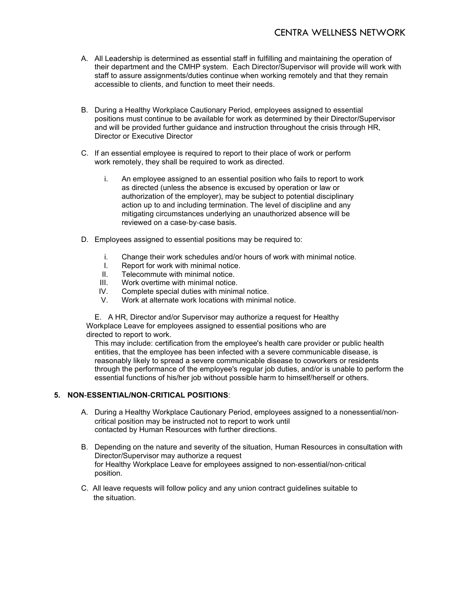- A. All Leadership is determined as essential staff in fulfilling and maintaining the operation of their department and the CMHP system. Each Director/Supervisor will provide will work with staff to assure assignments/duties continue when working remotely and that they remain accessible to clients, and function to meet their needs.
- B. During a Healthy Workplace Cautionary Period, employees assigned to essential positions must continue to be available for work as determined by their Director/Supervisor and will be provided further guidance and instruction throughout the crisis through HR, Director or Executive Director
- C. If an essential employee is required to report to their place of work or perform work remotely, they shall be required to work as directed.
	- i. An employee assigned to an essential position who fails to report to work as directed (unless the absence is excused by operation or law or authorization of the employer), may be subject to potential disciplinary action up to and including termination. The level of discipline and any mitigating circumstances underlying an unauthorized absence will be reviewed on a case‐by‐case basis.
- D. Employees assigned to essential positions may be required to:
	- i. Change their work schedules and/or hours of work with minimal notice.
	- I. Report for work with minimal notice.<br>II Telecommute with minimal notice.
	- II. Telecommute with minimal notice.<br>III. Work overtime with minimal notice.
	- Work overtime with minimal notice.
	- IV. Complete special duties with minimal notice.
	- Work at alternate work locations with minimal notice.

E. A HR, Director and/or Supervisor may authorize a request for Healthy Workplace Leave for employees assigned to essential positions who are directed to report to work.

This may include: certification from the employee's health care provider or public health entities, that the employee has been infected with a severe communicable disease, is reasonably likely to spread a severe communicable disease to coworkers or residents through the performance of the employee's regular job duties, and/or is unable to perform the essential functions of his/her job without possible harm to himself/herself or others.

#### **5. NON**‐**ESSENTIAL/NON**‐**CRITICAL POSITIONS**:

- A. During a Healthy Workplace Cautionary Period, employees assigned to a nonessential/non‐ critical position may be instructed not to report to work until contacted by Human Resources with further directions.
- B. Depending on the nature and severity of the situation, Human Resources in consultation with Director/Supervisor may authorize a request for Healthy Workplace Leave for employees assigned to non‐essential/non‐critical position.
- C. All leave requests will follow policy and any union contract guidelines suitable to the situation.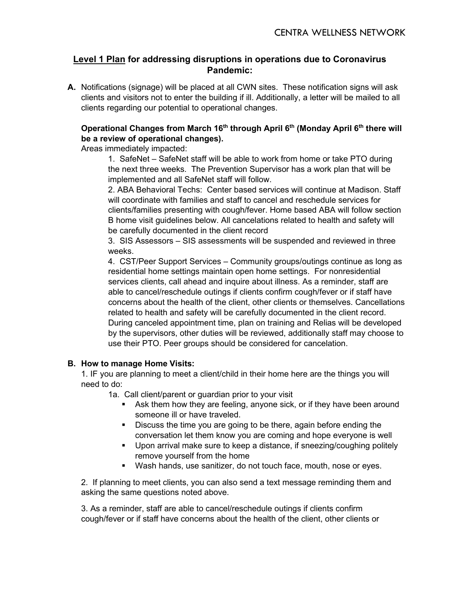# **Level 1 Plan for addressing disruptions in operations due to Coronavirus Pandemic:**

**A.** Notifications (signage) will be placed at all CWN sites. These notification signs will ask clients and visitors not to enter the building if ill. Additionally, a letter will be mailed to all clients regarding our potential to operational changes.

# **Operational Changes from March 16th through April 6th (Monday April 6th there will be a review of operational changes).**

Areas immediately impacted:

1. SafeNet – SafeNet staff will be able to work from home or take PTO during the next three weeks. The Prevention Supervisor has a work plan that will be implemented and all SafeNet staff will follow.

2. ABA Behavioral Techs: Center based services will continue at Madison. Staff will coordinate with families and staff to cancel and reschedule services for clients/families presenting with cough/fever. Home based ABA will follow section B home visit guidelines below. All cancelations related to health and safety will be carefully documented in the client record

3. SIS Assessors – SIS assessments will be suspended and reviewed in three weeks.

4. CST/Peer Support Services – Community groups/outings continue as long as residential home settings maintain open home settings. For nonresidential services clients, call ahead and inquire about illness. As a reminder, staff are able to cancel/reschedule outings if clients confirm cough/fever or if staff have concerns about the health of the client, other clients or themselves. Cancellations related to health and safety will be carefully documented in the client record. During canceled appointment time, plan on training and Relias will be developed by the supervisors, other duties will be reviewed, additionally staff may choose to use their PTO. Peer groups should be considered for cancelation.

# **B. How to manage Home Visits:**

1. IF you are planning to meet a client/child in their home here are the things you will need to do:

1a. Call client/parent or guardian prior to your visit

- Ask them how they are feeling, anyone sick, or if they have been around someone ill or have traveled.
- Discuss the time you are going to be there, again before ending the conversation let them know you are coming and hope everyone is well
- **Upon arrival make sure to keep a distance, if sneezing/coughing politely** remove yourself from the home
- Wash hands, use sanitizer, do not touch face, mouth, nose or eyes.

2. If planning to meet clients, you can also send a text message reminding them and asking the same questions noted above.

3. As a reminder, staff are able to cancel/reschedule outings if clients confirm cough/fever or if staff have concerns about the health of the client, other clients or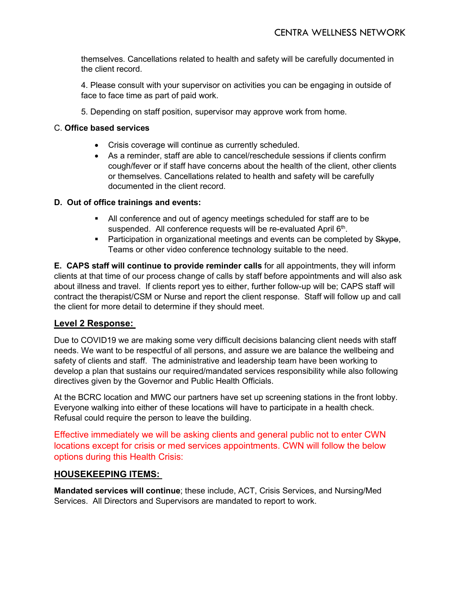themselves. Cancellations related to health and safety will be carefully documented in the client record.

4. Please consult with your supervisor on activities you can be engaging in outside of face to face time as part of paid work.

5. Depending on staff position, supervisor may approve work from home.

# C. **Office based services**

- Crisis coverage will continue as currently scheduled.
- As a reminder, staff are able to cancel/reschedule sessions if clients confirm cough/fever or if staff have concerns about the health of the client, other clients or themselves. Cancellations related to health and safety will be carefully documented in the client record.

# **D. Out of office trainings and events:**

- All conference and out of agency meetings scheduled for staff are to be suspended. All conference requests will be re-evaluated April 6<sup>th</sup>.
- Participation in organizational meetings and events can be completed by Skype, Teams or other video conference technology suitable to the need.

**E. CAPS staff will continue to provide reminder calls** for all appointments, they will inform clients at that time of our process change of calls by staff before appointments and will also ask about illness and travel. If clients report yes to either, further follow-up will be; CAPS staff will contract the therapist/CSM or Nurse and report the client response. Staff will follow up and call the client for more detail to determine if they should meet.

# **Level 2 Response:**

Due to COVID19 we are making some very difficult decisions balancing client needs with staff needs. We want to be respectful of all persons, and assure we are balance the wellbeing and safety of clients and staff. The administrative and leadership team have been working to develop a plan that sustains our required/mandated services responsibility while also following directives given by the Governor and Public Health Officials.

At the BCRC location and MWC our partners have set up screening stations in the front lobby. Everyone walking into either of these locations will have to participate in a health check. Refusal could require the person to leave the building.

Effective immediately we will be asking clients and general public not to enter CWN locations except for crisis or med services appointments. CWN will follow the below options during this Health Crisis:

# **HOUSEKEEPING ITEMS:**

**Mandated services will continue**; these include, ACT, Crisis Services, and Nursing/Med Services. All Directors and Supervisors are mandated to report to work.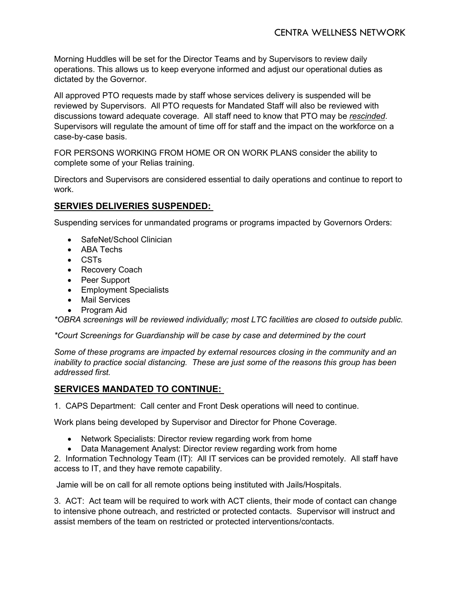Morning Huddles will be set for the Director Teams and by Supervisors to review daily operations. This allows us to keep everyone informed and adjust our operational duties as dictated by the Governor.

All approved PTO requests made by staff whose services delivery is suspended will be reviewed by Supervisors. All PTO requests for Mandated Staff will also be reviewed with discussions toward adequate coverage. All staff need to know that PTO may be *rescinded*. Supervisors will regulate the amount of time off for staff and the impact on the workforce on a case-by-case basis.

FOR PERSONS WORKING FROM HOME OR ON WORK PLANS consider the ability to complete some of your Relias training.

Directors and Supervisors are considered essential to daily operations and continue to report to work.

# **SERVIES DELIVERIES SUSPENDED:**

Suspending services for unmandated programs or programs impacted by Governors Orders:

- SafeNet/School Clinician
- ABA Techs
- CSTs
- Recovery Coach
- Peer Support
- Employment Specialists
- Mail Services
- Program Aid

*\*OBRA screenings will be reviewed individually; most LTC facilities are closed to outside public.* 

*\*Court Screenings for Guardianship will be case by case and determined by the court*

*Some of these programs are impacted by external resources closing in the community and an inability to practice social distancing. These are just some of the reasons this group has been addressed first.* 

# **SERVICES MANDATED TO CONTINUE:**

1. CAPS Department: Call center and Front Desk operations will need to continue.

Work plans being developed by Supervisor and Director for Phone Coverage.

- Network Specialists: Director review regarding work from home
- Data Management Analyst: Director review regarding work from home

2. Information Technology Team (IT): All IT services can be provided remotely. All staff have access to IT, and they have remote capability.

Jamie will be on call for all remote options being instituted with Jails/Hospitals.

3. ACT: Act team will be required to work with ACT clients, their mode of contact can change to intensive phone outreach, and restricted or protected contacts. Supervisor will instruct and assist members of the team on restricted or protected interventions/contacts.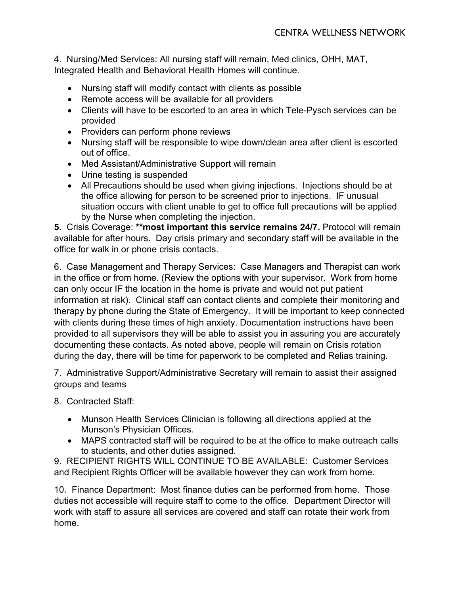4. Nursing/Med Services: All nursing staff will remain, Med clinics, OHH, MAT, Integrated Health and Behavioral Health Homes will continue.

- Nursing staff will modify contact with clients as possible
- Remote access will be available for all providers
- Clients will have to be escorted to an area in which Tele-Pysch services can be provided
- Providers can perform phone reviews
- Nursing staff will be responsible to wipe down/clean area after client is escorted out of office.
- Med Assistant/Administrative Support will remain
- Urine testing is suspended
- All Precautions should be used when giving injections. Injections should be at the office allowing for person to be screened prior to injections. IF unusual situation occurs with client unable to get to office full precautions will be applied by the Nurse when completing the injection.

**5.** Crisis Coverage: **\*\*most important this service remains 24/7.** Protocol will remain available for after hours. Day crisis primary and secondary staff will be available in the office for walk in or phone crisis contacts.

6. Case Management and Therapy Services: Case Managers and Therapist can work in the office or from home. (Review the options with your supervisor. Work from home can only occur IF the location in the home is private and would not put patient information at risk). Clinical staff can contact clients and complete their monitoring and therapy by phone during the State of Emergency. It will be important to keep connected with clients during these times of high anxiety. Documentation instructions have been provided to all supervisors they will be able to assist you in assuring you are accurately documenting these contacts. As noted above, people will remain on Crisis rotation during the day, there will be time for paperwork to be completed and Relias training.

7. Administrative Support/Administrative Secretary will remain to assist their assigned groups and teams

8. Contracted Staff:

- Munson Health Services Clinician is following all directions applied at the Munson's Physician Offices.
- MAPS contracted staff will be required to be at the office to make outreach calls to students, and other duties assigned.

9. RECIPIENT RIGHTS WILL CONTINUE TO BE AVAILABLE: Customer Services and Recipient Rights Officer will be available however they can work from home.

10. Finance Department: Most finance duties can be performed from home. Those duties not accessible will require staff to come to the office. Department Director will work with staff to assure all services are covered and staff can rotate their work from home.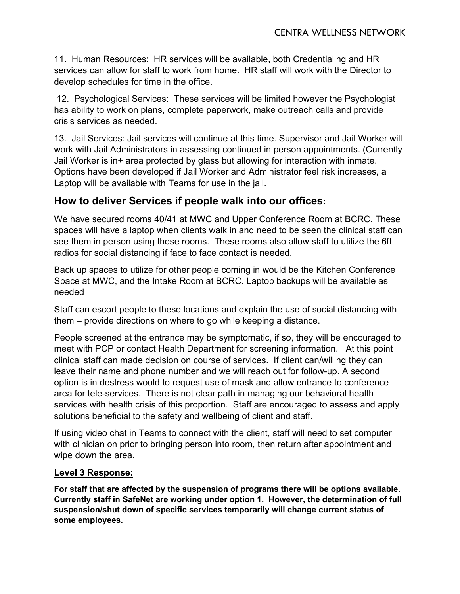11. Human Resources: HR services will be available, both Credentialing and HR services can allow for staff to work from home. HR staff will work with the Director to develop schedules for time in the office.

12. Psychological Services: These services will be limited however the Psychologist has ability to work on plans, complete paperwork, make outreach calls and provide crisis services as needed.

13. Jail Services: Jail services will continue at this time. Supervisor and Jail Worker will work with Jail Administrators in assessing continued in person appointments. (Currently Jail Worker is in+ area protected by glass but allowing for interaction with inmate. Options have been developed if Jail Worker and Administrator feel risk increases, a Laptop will be available with Teams for use in the jail.

# **How to deliver Services if people walk into our offices:**

We have secured rooms 40/41 at MWC and Upper Conference Room at BCRC. These spaces will have a laptop when clients walk in and need to be seen the clinical staff can see them in person using these rooms. These rooms also allow staff to utilize the 6ft radios for social distancing if face to face contact is needed.

Back up spaces to utilize for other people coming in would be the Kitchen Conference Space at MWC, and the Intake Room at BCRC. Laptop backups will be available as needed

Staff can escort people to these locations and explain the use of social distancing with them – provide directions on where to go while keeping a distance.

People screened at the entrance may be symptomatic, if so, they will be encouraged to meet with PCP or contact Health Department for screening information. At this point clinical staff can made decision on course of services. If client can/willing they can leave their name and phone number and we will reach out for follow-up. A second option is in destress would to request use of mask and allow entrance to conference area for tele-services. There is not clear path in managing our behavioral health services with health crisis of this proportion. Staff are encouraged to assess and apply solutions beneficial to the safety and wellbeing of client and staff.

If using video chat in Teams to connect with the client, staff will need to set computer with clinician on prior to bringing person into room, then return after appointment and wipe down the area.

# **Level 3 Response:**

**For staff that are affected by the suspension of programs there will be options available. Currently staff in SafeNet are working under option 1. However, the determination of full suspension/shut down of specific services temporarily will change current status of some employees.**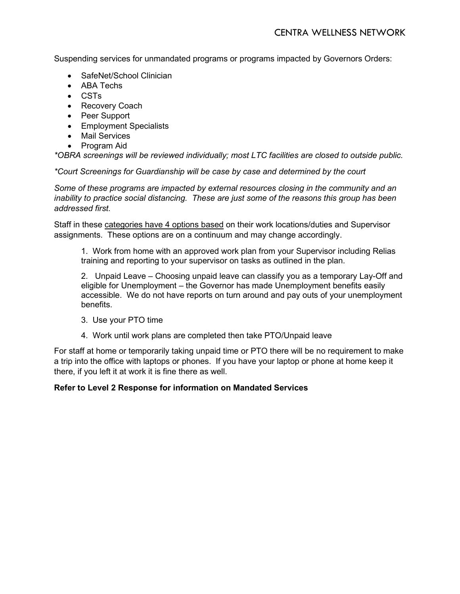Suspending services for unmandated programs or programs impacted by Governors Orders:

- SafeNet/School Clinician
- ABA Techs
- CSTs
- Recovery Coach
- Peer Support
- Employment Specialists
- Mail Services
- Program Aid

*\*OBRA screenings will be reviewed individually; most LTC facilities are closed to outside public.* 

*\*Court Screenings for Guardianship will be case by case and determined by the court*

*Some of these programs are impacted by external resources closing in the community and an inability to practice social distancing. These are just some of the reasons this group has been addressed first.* 

Staff in these categories have 4 options based on their work locations/duties and Supervisor assignments. These options are on a continuum and may change accordingly.

1. Work from home with an approved work plan from your Supervisor including Relias training and reporting to your supervisor on tasks as outlined in the plan.

2. Unpaid Leave – Choosing unpaid leave can classify you as a temporary Lay-Off and eligible for Unemployment – the Governor has made Unemployment benefits easily accessible. We do not have reports on turn around and pay outs of your unemployment benefits.

- 3. Use your PTO time
- 4. Work until work plans are completed then take PTO/Unpaid leave

For staff at home or temporarily taking unpaid time or PTO there will be no requirement to make a trip into the office with laptops or phones. If you have your laptop or phone at home keep it there, if you left it at work it is fine there as well.

# **Refer to Level 2 Response for information on Mandated Services**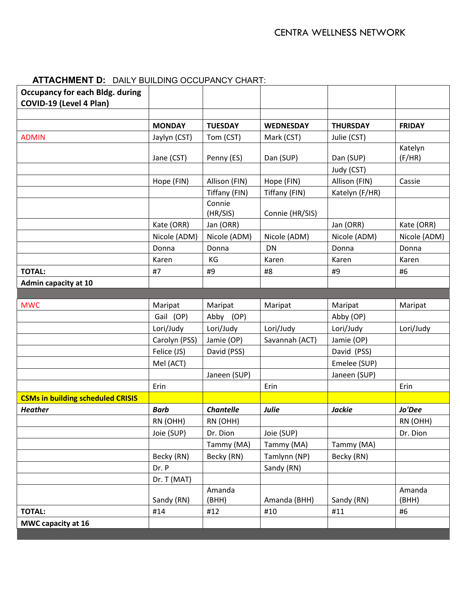| <b>Occupancy for each Bldg. during</b><br>COVID-19 (Level 4 Plan) |               |                    |                  |                 |               |
|-------------------------------------------------------------------|---------------|--------------------|------------------|-----------------|---------------|
|                                                                   |               |                    |                  |                 |               |
|                                                                   | <b>MONDAY</b> | <b>TUESDAY</b>     | <b>WEDNESDAY</b> | <b>THURSDAY</b> | <b>FRIDAY</b> |
| <b>ADMIN</b>                                                      | Jaylyn (CST)  | Tom (CST)          | Mark (CST)       | Julie (CST)     |               |
|                                                                   |               |                    |                  |                 | Katelyn       |
|                                                                   | Jane (CST)    | Penny (ES)         | Dan (SUP)        | Dan (SUP)       | (F/HR)        |
|                                                                   |               |                    |                  | Judy (CST)      |               |
|                                                                   | Hope (FIN)    | Allison (FIN)      | Hope (FIN)       | Allison (FIN)   | Cassie        |
|                                                                   |               | Tiffany (FIN)      | Tiffany (FIN)    | Katelyn (F/HR)  |               |
|                                                                   |               | Connie<br>(HR/SIS) | Connie (HR/SIS)  |                 |               |
|                                                                   | Kate (ORR)    | Jan (ORR)          |                  | Jan (ORR)       | Kate (ORR)    |
|                                                                   | Nicole (ADM)  | Nicole (ADM)       | Nicole (ADM)     | Nicole (ADM)    | Nicole (ADM)  |
|                                                                   | Donna         | Donna              | <b>DN</b>        | Donna           | Donna         |
|                                                                   | Karen         | KG                 | Karen            | Karen           | Karen         |
| <b>TOTAL:</b>                                                     | #7            | #9                 | #8               | #9              | #6            |
| <b>Admin capacity at 10</b>                                       |               |                    |                  |                 |               |
|                                                                   |               |                    |                  |                 |               |
| <b>MWC</b>                                                        | Maripat       | Maripat            | Maripat          | Maripat         | Maripat       |
|                                                                   | Gail (OP)     | Abby (OP)          |                  | Abby (OP)       |               |
|                                                                   | Lori/Judy     | Lori/Judy          | Lori/Judy        | Lori/Judy       | Lori/Judy     |
|                                                                   | Carolyn (PSS) | Jamie (OP)         | Savannah (ACT)   | Jamie (OP)      |               |
|                                                                   | Felice (JS)   | David (PSS)        |                  | David (PSS)     |               |
|                                                                   | Mel (ACT)     |                    |                  | Emelee (SUP)    |               |
|                                                                   |               | Janeen (SUP)       |                  | Janeen (SUP)    |               |
|                                                                   | Erin          |                    | Erin             |                 | Erin          |
| <b>CSMs in building scheduled CRISIS</b>                          |               |                    |                  |                 |               |
| <b>Heather</b>                                                    | <b>Barb</b>   | <b>Chantelle</b>   | Julie            | <b>Jackie</b>   | Jo'Dee        |
|                                                                   | RN (OHH)      | RN (OHH)           |                  |                 | RN (OHH)      |
|                                                                   | Joie (SUP)    | Dr. Dion           | Joie (SUP)       |                 | Dr. Dion      |
|                                                                   |               | Tammy (MA)         | Tammy (MA)       | Tammy (MA)      |               |
|                                                                   | Becky (RN)    | Becky (RN)         | Tamlynn (NP)     | Becky (RN)      |               |
|                                                                   | Dr. P         |                    | Sandy (RN)       |                 |               |
|                                                                   | Dr. T (MAT)   |                    |                  |                 |               |
|                                                                   |               | Amanda             |                  |                 | Amanda        |
|                                                                   | Sandy (RN)    | (BHH)              | Amanda (BHH)     | Sandy (RN)      | (BHH)         |
| <b>TOTAL:</b>                                                     | #14           | #12                | #10              | $\#11$          | #6            |
| MWC capacity at 16                                                |               |                    |                  |                 |               |

# **ATTACHMENT D:** DAILY BUILDING OCCUPANCY CHART: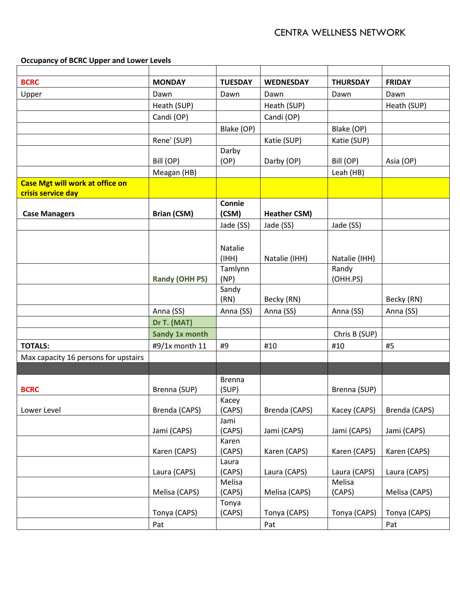**Occupancy of BCRC Upper and Lower Levels**

| <b>BCRC</b>                            | <b>MONDAY</b>         | <b>TUESDAY</b>   | <b>WEDNESDAY</b>    | <b>THURSDAY</b>        | <b>FRIDAY</b> |
|----------------------------------------|-----------------------|------------------|---------------------|------------------------|---------------|
| Upper                                  | Dawn                  | Dawn             | Dawn                | Dawn                   | Dawn          |
|                                        | Heath (SUP)           |                  | Heath (SUP)         |                        | Heath (SUP)   |
|                                        | Candi (OP)            |                  | Candi (OP)          |                        |               |
|                                        |                       | Blake (OP)       |                     | Blake (OP)             |               |
|                                        | Rene' (SUP)           |                  | Katie (SUP)         | Katie (SUP)            |               |
|                                        |                       | Darby            |                     |                        |               |
|                                        | Bill (OP)             | (OP)             | Darby (OP)          | Bill (OP)              | Asia (OP)     |
|                                        | Meagan (HB)           |                  |                     | Leah (HB)              |               |
| <b>Case Mgt will work at office on</b> |                       |                  |                     |                        |               |
| crisis service day                     |                       |                  |                     |                        |               |
|                                        |                       | Connie           |                     |                        |               |
| <b>Case Managers</b>                   | <b>Brian (CSM)</b>    | (CSM)            | <b>Heather CSM)</b> |                        |               |
|                                        |                       | Jade (SS)        | Jade (SS)           | Jade (SS)              |               |
|                                        |                       |                  |                     |                        |               |
|                                        |                       | Natalie<br>(HHH) | Natalie (IHH)       |                        |               |
|                                        |                       | Tamlynn          |                     | Natalie (IHH)<br>Randy |               |
|                                        | <b>Randy (OHH PS)</b> | (NP)             |                     | (OHH.PS)               |               |
|                                        |                       | Sandy            |                     |                        |               |
|                                        |                       | (RN)             | Becky (RN)          |                        | Becky (RN)    |
|                                        | Anna (SS)             | Anna (SS)        | Anna (SS)           | Anna (SS)              | Anna (SS)     |
|                                        | Dr T. (MAT)           |                  |                     |                        |               |
|                                        | Sandy 1x month        |                  |                     | Chris B (SUP)          |               |
| <b>TOTALS:</b>                         | #9/1x month 11        | #9               | #10                 | #10                    | #5            |
| Max capacity 16 persons for upstairs   |                       |                  |                     |                        |               |
|                                        |                       |                  |                     |                        |               |
|                                        |                       | <b>Brenna</b>    |                     |                        |               |
| <b>BCRC</b>                            | Brenna (SUP)          | (SUP)            |                     | Brenna (SUP)           |               |
|                                        |                       | Kacey            |                     |                        |               |
| Lower Level                            | Brenda (CAPS)         | (CAPS)           | Brenda (CAPS)       | Kacey (CAPS)           | Brenda (CAPS) |
|                                        | Jami (CAPS)           | Jami<br>(CAPS)   | Jami (CAPS)         | Jami (CAPS)            | Jami (CAPS)   |
|                                        |                       | Karen            |                     |                        |               |
|                                        | Karen (CAPS)          | (CAPS)           | Karen (CAPS)        | Karen (CAPS)           | Karen (CAPS)  |
|                                        | Laura (CAPS)          | Laura<br>(CAPS)  | Laura (CAPS)        | Laura (CAPS)           | Laura (CAPS)  |
|                                        | Melisa (CAPS)         | Melisa<br>(CAPS) | Melisa (CAPS)       | Melisa<br>(CAPS)       | Melisa (CAPS) |
|                                        | Tonya (CAPS)          | Tonya<br>(CAPS)  | Tonya (CAPS)        | Tonya (CAPS)           | Tonya (CAPS)  |
|                                        | Pat                   |                  | Pat                 |                        | Pat           |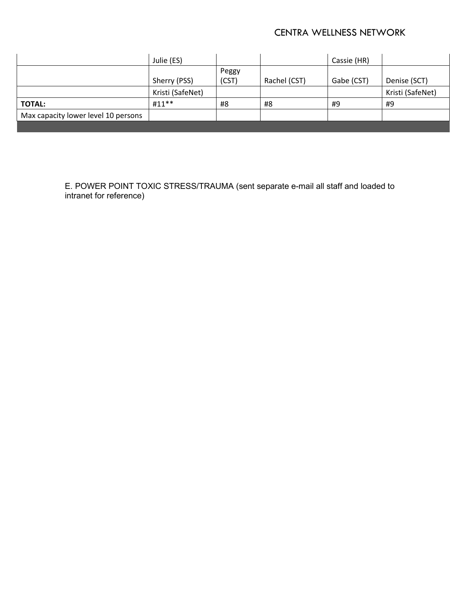# CENTRA WELLNESS NETWORK

|                                     | Julie (ES)       |       |              | Cassie (HR) |                  |
|-------------------------------------|------------------|-------|--------------|-------------|------------------|
|                                     |                  | Peggy |              |             |                  |
|                                     | Sherry (PSS)     | (CST) | Rachel (CST) | Gabe (CST)  | Denise (SCT)     |
|                                     | Kristi (SafeNet) |       |              |             | Kristi (SafeNet) |
| <b>TOTAL:</b>                       | $#11**$          | #8    | #8           | #9          | #9               |
| Max capacity lower level 10 persons |                  |       |              |             |                  |
|                                     |                  |       |              |             |                  |

E. POWER POINT TOXIC STRESS/TRAUMA (sent separate e-mail all staff and loaded to intranet for reference)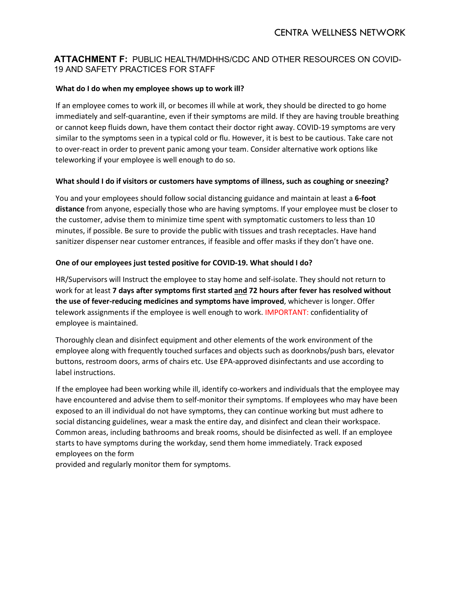# **ATTACHMENT F:** PUBLIC HEALTH/MDHHS/CDC AND OTHER RESOURCES ON COVID-19 AND SAFETY PRACTICES FOR STAFF

#### **What do I do when my employee shows up to work ill?**

If an employee comes to work ill, or becomes ill while at work, they should be directed to go home immediately and self-quarantine, even if their symptoms are mild. If they are having trouble breathing or cannot keep fluids down, have them contact their doctor right away. COVID-19 symptoms are very similar to the symptoms seen in a typical cold or flu. However, it is best to be cautious. Take care not to over-react in order to prevent panic among your team. Consider alternative work options like teleworking if your employee is well enough to do so.

#### **What should I do if visitors or customers have symptoms of illness, such as coughing or sneezing?**

You and your employees should follow social distancing guidance and maintain at least a **6-foot distance** from anyone, especially those who are having symptoms. If your employee must be closer to the customer, advise them to minimize time spent with symptomatic customers to less than 10 minutes, if possible. Be sure to provide the public with tissues and trash receptacles. Have hand sanitizer dispenser near customer entrances, if feasible and offer masks if they don't have one.

#### **One of our employees just tested positive for COVID-19. What should I do?**

HR/Supervisors will Instruct the employee to stay home and self-isolat[e. T](https://www.washtenaw.org/DocumentCenter/View/15693/Directions-for-isolation-quarantine-social-distancing-monitoring)hey should not return to work for at least **7 days after symptoms first started and 72 hours after fever has resolved without the use of fever-reducing medicines and symptoms have improved**, whichever is longer. Offer telework assignments if the employee is well enough to work. IMPORTANT: confidentiality of employee is maintained.

Thoroughly clean and disinfect equipment and other elements of the work environment of the employee along with frequently touched surfaces and objects such as doorknobs/push bars, elevator buttons, restroom doors, arms of chairs etc. Use EPA-approved disinfectants and use according to label instructions.

If the employee had been working while ill, identify co-workers and individuals that the employee may have encountered and advise them to self-monitor their symptoms. If employees who may have been exposed to an ill individual do not have symptoms, they can continue working but must adhere to social distancing guidelines, wear a mask the entire day, and disinfect and clean their workspace. Common areas, including bathrooms and break rooms, should be disinfected as well. If an employee starts to have symptoms during the workday, send them home immediately. Track exposed employees on the form

provided and regularly monitor them for symptoms.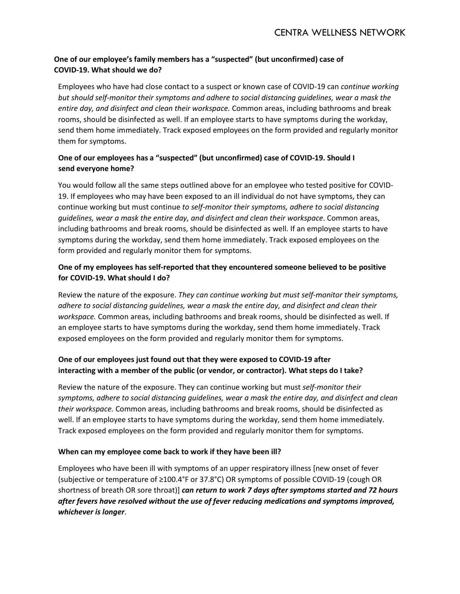# **One of our employee's family members has a "suspected" (but unconfirmed) case of COVID-19. What should we do?**

Employees who have had close contact to a suspect or known case of COVID-19 can *continue working but should self-monitor their symptoms and adhere to social distancing guidelines, wear a mask the entire day, and disinfect and clean their workspace.* Common areas, including bathrooms and break rooms, should be disinfected as well. If an employee starts to have symptoms during the workday, send them home immediately. Track exposed employees on the form provided and regularly monitor them for symptoms.

# **One of our employees has a "suspected" (but unconfirmed) case of COVID-19. Should I send everyone home?**

You would follow all the same steps outlined above for an employee who tested positive for COVID-19. If employees who may have been exposed to an ill individual do not have symptoms, they can continue working but must continue *to self-monitor their symptoms, adhere to social distancing guidelines, wear a mask the entire day, and disinfect and clean their workspace*. Common areas, including bathrooms and break rooms, should be disinfected as well. If an employee starts to have symptoms during the workday, send them home immediately. Track exposed employees on the form provided and regularly monitor them for symptoms.

# **One of my employees has self-reported that they encountered someone believed to be positive for COVID-19. What should I do?**

Review the nature of the exposure. *They can continue working but must self-monitor their symptoms, adhere to social distancing guidelines, wear a mask the entire day, and disinfect and clean their workspace.* Common areas, including bathrooms and break rooms, should be disinfected as well. If an employee starts to have symptoms during the workday, send them home immediately. Track exposed employees on the form provided and regularly monitor them for symptoms.

# **One of our employees just found out that they were exposed to COVID-19 after interacting with a member of the public (or vendor, or contractor). What steps do I take?**

Review the nature of the exposure. They can continue working but must *self-monitor their symptoms, adhere to social distancing guidelines, wear a mask the entire day, and disinfect and clean their workspace.* Common areas, including bathrooms and break rooms, should be disinfected as well. If an employee starts to have symptoms during the workday, send them home immediately. Track exposed employees on the form provided and regularly monitor them for symptoms.

# **When can my employee come back to work if they have been ill?**

Employees who have been ill with symptoms of an upper respiratory illness [new onset of fever (subjective or temperature of ≥100.4°F or 37.8°C) OR symptoms of possible COVID-19 (cough OR shortness of breath OR sore throat)] *can return to work 7 days after symptoms started and 72 hours after fevers have resolved without the use of fever reducing medications and symptoms improved, whichever is longer*.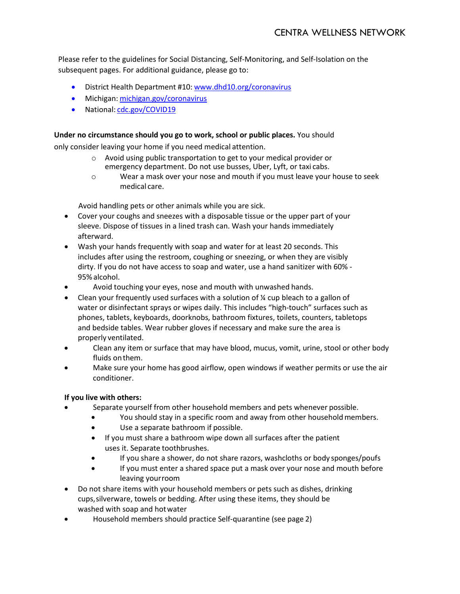Please refer to the guidelines for Social Distancing, Self-Monitoring, and Self-Isolation on the subsequent pages. For additional guidance, please go to:

- District Health Department #10: [www.dhd10.org/coronavirus](http://www.dhd10.org/coronavirus)
- Michigan: [michigan.gov/coronavirus](http://michigan.gov/coronavirus)
- National: [cdc.gov/COVID19](http://www.cdc.gov/COVID19)

#### **Under no circumstance should you go to work, school or public places.** You should

only consider leaving your home if you need medical attention.

- o Avoid using public transportation to get to your medical provider or emergency department. Do not use busses, Uber, Lyft, or taxi cabs.
- o Wear a mask over your nose and mouth if you must leave your house to seek medical care.

Avoid handling pets or other animals while you are sick.

- Cover your coughs and sneezes with a disposable tissue or the upper part of your sleeve. Dispose of tissues in a lined trash can. Wash your hands immediately afterward.
- Wash your hands frequently with soap and water for at least 20 seconds. This includes after using the restroom, coughing or sneezing, or when they are visibly dirty. If you do not have access to soap and water, use a hand sanitizer with 60% - 95% alcohol.
- Avoid touching your eyes, nose and mouth with unwashed hands.
- Clean your frequently used surfaces with a solution of  $\frac{1}{2}$  cup bleach to a gallon of water or disinfectant sprays or wipes daily. This includes "high-touch" surfaces such as phones, tablets, keyboards, doorknobs, bathroom fixtures, toilets, counters, tabletops and bedside tables. Wear rubber gloves if necessary and make sure the area is properly ventilated.
- Clean any item or surface that may have blood, mucus, vomit, urine, stool or other body fluids on them.
- Make sure your home has good airflow, open windows if weather permits or use the air conditioner.

# **If you live with others:**

- Separate yourself from other household members and pets whenever possible.
	- You should stay in a specific room and away from other household members.
	- Use a separate bathroom if possible.
	- If you must share a bathroom wipe down all surfaces after the patient uses it. Separate toothbrushes.
	- If you share a shower, do not share razors, washcloths or body sponges/poufs
	- If you must enter a shared space put a mask over your nose and mouth before leaving yourroom
- Do not share items with your household members or pets such as dishes, drinking cups,silverware, towels or bedding. After using these items, they should be washed with soap and hotwater
- Household members should practice Self-quarantine (see page 2)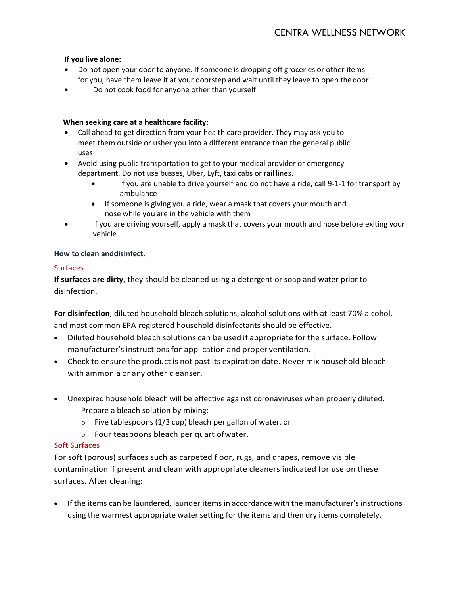### **If you live alone:**

- Do not open your door to anyone. If someone is dropping off groceries or other items for you, have them leave it at your doorstep and wait until they leave to open thedoor.
- Do not cook food for anyone other than yourself

#### **When seeking care at a healthcare facility:**

- Call ahead to get direction from your health care provider. They may ask you to meet them outside or usher you into a different entrance than the general public uses
- Avoid using public transportation to get to your medical provider or emergency department. Do not use busses, Uber, Lyft, taxi cabs or rail lines.
	- If you are unable to drive yourself and do not have a ride, call 9-1-1 for transport by ambulance
	- If someone is giving you a ride, wear a mask that covers your mouth and nose while you are in the vehicle with them
- If you are driving yourself, apply a mask that covers your mouth and nose before exiting your vehicle

#### **How to clean anddisinfect.**

#### Surfaces

**If surfaces are dirty**, they should be cleaned using a detergent or soap and water prior to disinfection.

**For disinfection**, diluted household bleach solutions, alcohol solutions with at least 70% alcohol, and most common EPA-registered household disinfectants should be effective.

- Diluted household bleach solutions can be used if appropriate for the surface. Follow manufacturer's instructions for application and proper ventilation.
- Check to ensure the product is not past its expiration date. Never mix household bleach with ammonia or any other cleanser.
- Unexpired household bleach will be effective against coronaviruses when properly diluted. Prepare a bleach solution by mixing:
	- o Five tablespoons (1/3 cup) bleach per gallon of water, or
	- o Four teaspoons bleach per quart ofwater.

# Soft Surfaces

For soft (porous) surfaces such as carpeted floor, rugs, and drapes, remove visible contamination if present and clean with appropriate cleaners indicated for use on these surfaces. After cleaning:

• If the items can be laundered, launder items in accordance with the manufacturer's instructions using the warmest appropriate water setting for the items and then dry items completely.